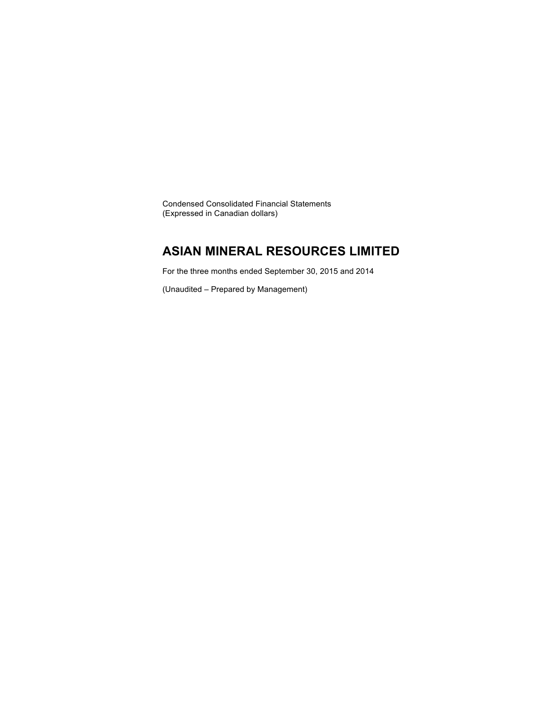Condensed Consolidated Financial Statements (Expressed in Canadian dollars)

### **ASIAN MINERAL RESOURCES LIMITED**

For the three months ended September 30, 2015 and 2014

(Unaudited – Prepared by Management)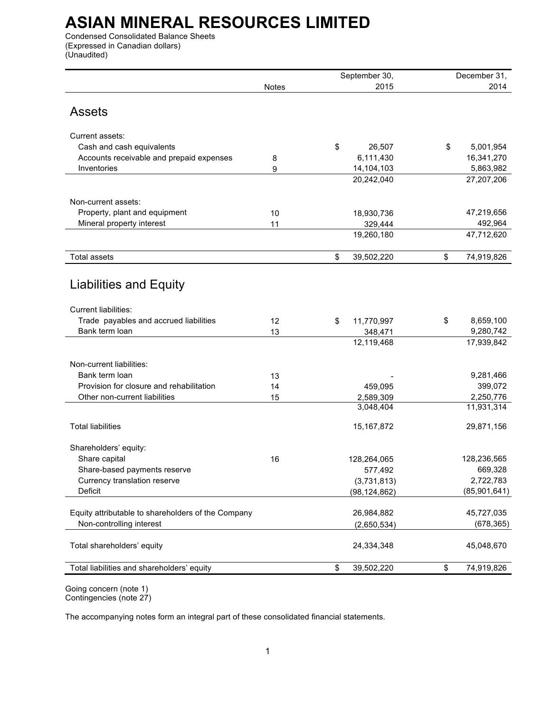Condensed Consolidated Balance Sheets (Expressed in Canadian dollars) (Unaudited)

|                                                    |       | September 30,    | December 31.     |
|----------------------------------------------------|-------|------------------|------------------|
|                                                    | Notes | 2015             | 2014             |
|                                                    |       |                  |                  |
| <b>Assets</b>                                      |       |                  |                  |
|                                                    |       |                  |                  |
| Current assets:                                    |       |                  |                  |
| Cash and cash equivalents                          |       | \$<br>26,507     | \$<br>5,001,954  |
| Accounts receivable and prepaid expenses           | 8     | 6,111,430        | 16,341,270       |
| Inventories                                        | 9     | 14,104,103       | 5,863,982        |
|                                                    |       | 20,242,040       | 27,207,206       |
|                                                    |       |                  |                  |
| Non-current assets:                                |       |                  |                  |
| Property, plant and equipment                      | 10    | 18,930,736       | 47,219,656       |
| Mineral property interest                          | 11    | 329,444          | 492,964          |
|                                                    |       | 19,260,180       | 47,712,620       |
|                                                    |       |                  |                  |
| <b>Total assets</b>                                |       | \$<br>39,502,220 | \$<br>74,919,826 |
|                                                    |       |                  |                  |
| <b>Liabilities and Equity</b>                      |       |                  |                  |
|                                                    |       |                  |                  |
| Current liabilities:                               |       |                  |                  |
| Trade payables and accrued liabilities             | 12    | \$<br>11,770,997 | \$<br>8,659,100  |
| Bank term loan                                     | 13    | 348,471          | 9,280,742        |
|                                                    |       | 12,119,468       | 17,939,842       |
|                                                    |       |                  |                  |
| Non-current liabilities:                           |       |                  |                  |
| Bank term loan                                     | 13    |                  | 9,281,466        |
| Provision for closure and rehabilitation           | 14    | 459,095          | 399,072          |
| Other non-current liabilities                      | 15    | 2,589,309        | 2,250,776        |
|                                                    |       | 3,048,404        | 11,931,314       |
|                                                    |       |                  |                  |
| <b>Total liabilities</b>                           |       | 15, 167, 872     | 29,871,156       |
| Shareholders' equity:                              |       |                  |                  |
| Share capital                                      | 16    | 128,264,065      | 128,236,565      |
| Share-based payments reserve                       |       | 577,492          | 669,328          |
| Currency translation reserve                       |       | (3,731,813)      | 2,722,783        |
| Deficit                                            |       | (98, 124, 862)   | (85,901,641)     |
|                                                    |       |                  |                  |
| Equity attributable to shareholders of the Company |       | 26,984,882       | 45,727,035       |
| Non-controlling interest                           |       | (2,650,534)      | (678, 365)       |
|                                                    |       |                  |                  |
| Total shareholders' equity                         |       | 24,334,348       | 45,048,670       |
|                                                    |       |                  |                  |
| Total liabilities and shareholders' equity         |       | \$<br>39,502,220 | \$<br>74,919,826 |
|                                                    |       |                  |                  |

Going concern (note 1) Contingencies (note 27)

The accompanying notes form an integral part of these consolidated financial statements.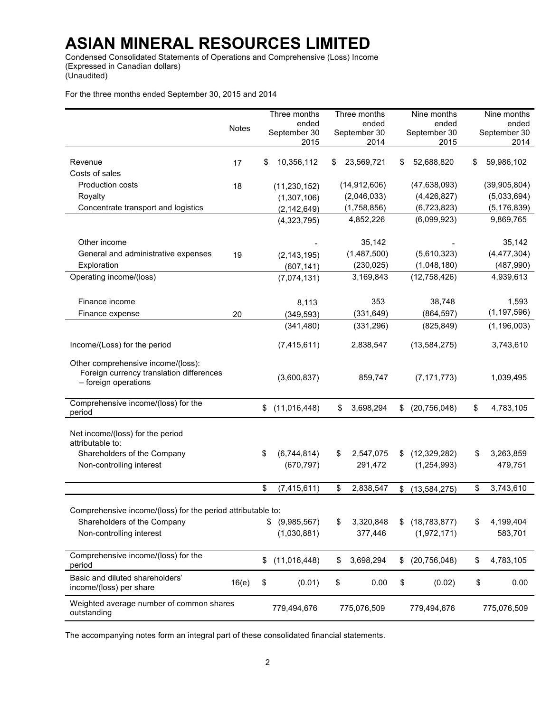Condensed Consolidated Statements of Operations and Comprehensive (Loss) Income (Expressed in Canadian dollars) (Unaudited)

For the three months ended September 30, 2015 and 2014

|                                                             |              | Three months         |    | Three months         |    | Nine months          | Nine months          |
|-------------------------------------------------------------|--------------|----------------------|----|----------------------|----|----------------------|----------------------|
|                                                             | <b>Notes</b> | ended                |    | ended                |    | ended                | ended                |
|                                                             |              | September 30<br>2015 |    | September 30<br>2014 |    | September 30<br>2015 | September 30<br>2014 |
|                                                             |              |                      |    |                      |    |                      |                      |
| Revenue                                                     | 17           | \$<br>10,356,112     | S  | 23,569,721           | S  | 52,688,820           | \$<br>59,986,102     |
| Costs of sales                                              |              |                      |    |                      |    |                      |                      |
| Production costs                                            | 18           | (11, 230, 152)       |    | (14, 912, 606)       |    | (47, 638, 093)       | (39,905,804)         |
| Royalty                                                     |              | (1,307,106)          |    | (2,046,033)          |    | (4,426,827)          | (5,033,694)          |
| Concentrate transport and logistics                         |              | (2, 142, 649)        |    | (1,758,856)          |    | (6,723,823)          | (5, 176, 839)        |
|                                                             |              | (4,323,795)          |    | 4,852,226            |    | (6,099,923)          | 9,869,765            |
|                                                             |              |                      |    |                      |    |                      |                      |
| Other income                                                |              |                      |    | 35,142               |    |                      | 35,142               |
| General and administrative expenses                         | 19           | (2, 143, 195)        |    | (1,487,500)          |    | (5,610,323)          | (4, 477, 304)        |
| Exploration                                                 |              | (607, 141)           |    | (230, 025)           |    | (1,048,180)          | (487,990)            |
| Operating income/(loss)                                     |              | (7,074,131)          |    | 3,169,843            |    | (12,758,426)         | 4,939,613            |
|                                                             |              |                      |    |                      |    |                      |                      |
| Finance income                                              |              | 8,113                |    | 353                  |    | 38,748               | 1,593                |
| Finance expense                                             | 20           | (349, 593)           |    | (331, 649)           |    | (864, 597)           | (1, 197, 596)        |
|                                                             |              | (341, 480)           |    | (331, 296)           |    | (825, 849)           | (1, 196, 003)        |
|                                                             |              |                      |    |                      |    |                      |                      |
| Income/(Loss) for the period                                |              | (7, 415, 611)        |    | 2,838,547            |    | (13, 584, 275)       | 3,743,610            |
| Other comprehensive income/(loss):                          |              |                      |    |                      |    |                      |                      |
| Foreign currency translation differences                    |              | (3,600,837)          |    |                      |    |                      |                      |
| - foreign operations                                        |              |                      |    | 859,747              |    | (7, 171, 773)        | 1,039,495            |
|                                                             |              |                      |    |                      |    |                      |                      |
| Comprehensive income/(loss) for the<br>period               |              | \$<br>(11,016,448)   | \$ | 3,698,294            | \$ | (20, 756, 048)       | \$<br>4,783,105      |
|                                                             |              |                      |    |                      |    |                      |                      |
| Net income/(loss) for the period                            |              |                      |    |                      |    |                      |                      |
| attributable to:                                            |              |                      |    |                      |    |                      |                      |
| Shareholders of the Company                                 |              | \$<br>(6,744,814)    | \$ | 2,547,075            | \$ | (12, 329, 282)       | \$<br>3,263,859      |
| Non-controlling interest                                    |              | (670, 797)           |    | 291,472              |    | (1,254,993)          | 479,751              |
|                                                             |              |                      |    |                      |    |                      |                      |
|                                                             |              | \$<br>(7, 415, 611)  | \$ | 2,838,547            | \$ | (13, 584, 275)       | \$<br>3,743,610      |
|                                                             |              |                      |    |                      |    |                      |                      |
| Comprehensive income/(loss) for the period attributable to: |              |                      |    |                      |    |                      |                      |
| Shareholders of the Company                                 |              | \$<br>(9,985,567)    | \$ | 3,320,848            | \$ | (18, 783, 877)       | \$<br>4,199,404      |
| Non-controlling interest                                    |              | (1,030,881)          |    | 377,446              |    | (1,972,171)          | 583,701              |
|                                                             |              |                      |    |                      |    |                      |                      |
| Comprehensive income/(loss) for the<br>period               |              | \$<br>(11, 016, 448) | \$ | 3,698,294            | \$ | (20, 756, 048)       | \$<br>4,783,105      |
|                                                             |              |                      |    |                      |    |                      |                      |
| Basic and diluted shareholders'<br>income/(loss) per share  | 16(e)        | \$<br>(0.01)         | \$ | 0.00                 | \$ | (0.02)               | \$<br>0.00           |
|                                                             |              |                      |    |                      |    |                      |                      |
| Weighted average number of common shares<br>outstanding     |              | 779,494,676          |    | 775,076,509          |    | 779,494,676          | 775,076,509          |
|                                                             |              |                      |    |                      |    |                      |                      |

The accompanying notes form an integral part of these consolidated financial statements.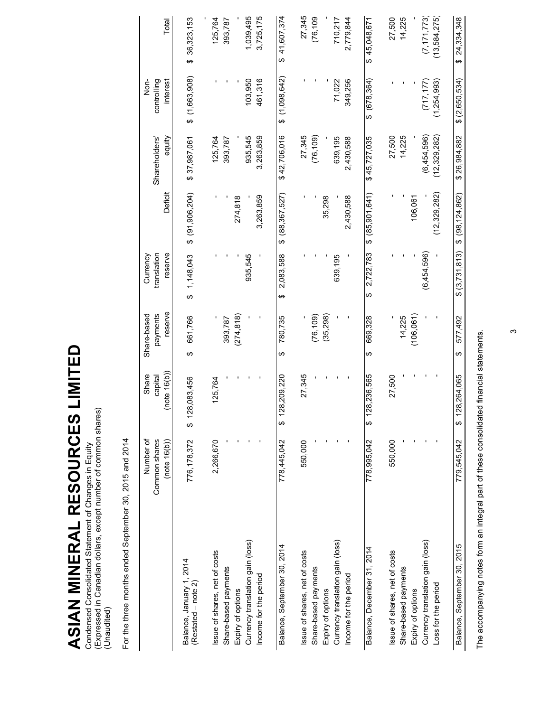ASIAN MINERAL RESOURCES LIMITED **ASIAN MINERAL RESOURCES LIMITED**

Condensed Consolidated Statement of Changes in Equity<br>(Expressed in Canadian dollars, except number of common shares)<br>(Unaudited) (Expressed in Canadian dollars, except number of common shares) Condensed Consolidated Statement of Changes in Equity (Unaudited)

For the three months ended September 30, 2015 and 2014 For the three months ended September 30, 2015 and 2014

|                                                 | Common shares<br>Number of<br>(note 16(b)) | (note 16(b))<br>Share<br>capital | reserve<br>payments<br>Share-based | reserve<br>translation<br>Currency  | Deficit              | Shareholders'<br>equity | Non-<br>controlling<br>interest | Total           |
|-------------------------------------------------|--------------------------------------------|----------------------------------|------------------------------------|-------------------------------------|----------------------|-------------------------|---------------------------------|-----------------|
| Balance, January 1, 2014<br>(Restated – note 2) | 776,178,372                                | 28,083,456<br>ر<br>په            | 661,766<br>↮                       | 1,148,043<br>$\boldsymbol{\varphi}$ | \$ (91,906,204)      | \$37,987,061            | \$(1,663,908)                   | \$36,323,153    |
| Issue of shares, net of costs                   | 2,266,670                                  | 125,764                          |                                    |                                     |                      | 125,764                 |                                 | 125,764         |
| Share-based payments                            |                                            |                                  | 393,787                            |                                     |                      | 393,787                 |                                 | 393,787         |
| Expiry of options                               |                                            |                                  | (274, 818)                         |                                     | 274,818              |                         |                                 |                 |
| Currency translation gain (loss)                |                                            |                                  |                                    | 935,545                             |                      | 935,545                 | 103,950                         | 1,039,495       |
| Income for the period                           |                                            |                                  |                                    |                                     | 3,263,859            | 3,263,859               | 461,316                         | 3,725,175       |
| Balance, September 30, 2014                     | 778,445,042                                | 28,209,220<br>မာ                 | 780,735<br>↮                       | 2,083,588<br>↮                      | (88, 367, 527)<br>ക  | \$42,706,016            | (1,098,642)<br>ക                | 41,607,374<br>↮ |
| Issue of shares, net of costs                   | 550,000                                    | 27,345                           |                                    |                                     |                      | 27,345                  |                                 | 27,345          |
| Share-based payments                            |                                            |                                  | (76, 109)                          |                                     |                      | (76, 109)               |                                 | (76, 109)       |
| Expiry of options                               |                                            |                                  | (35, 298)                          |                                     | 35,298               |                         |                                 |                 |
| Currency translation gain (loss)                |                                            |                                  |                                    | 639,195                             |                      | 639,195                 | 71,022                          | 710,217         |
| Income for the period                           |                                            |                                  |                                    |                                     | 2,430,588            | 2,430,588               | 349,256                         | 2,779,844       |
| Balance, December 31, 2014                      | 778,995,042                                | 28.236.565<br><del>.</del>       | 669.328<br>↮                       | 2,722,783<br>မာ                     | \$ (85,901,641)      | \$45,727,035            | $$^{(678,364)}$                 | \$45,048,671    |
| Issue of shares, net of costs                   | 550,000                                    | 27,500                           |                                    |                                     |                      | 27,500                  |                                 | 27,500          |
| Share-based payments                            |                                            |                                  | 14,225                             |                                     |                      | 14,225                  |                                 | 14,225          |
| Expiry of options                               |                                            |                                  | (106, 061)                         |                                     | 106,061              |                         |                                 |                 |
| Currency translation gain (loss)                |                                            |                                  |                                    | (6,454,596)                         |                      | (6,454,596)             | (717, 177)                      | (7, 171, 773)   |
| Loss for the period                             |                                            |                                  |                                    |                                     | (12, 329, 282)       | (12, 329, 282)          | (1,254,993)                     | (13,584,275)    |
| Balance, September 30, 2015                     | 779.545.042                                | 28,264,065<br>↮                  | 577,492<br>↮                       | \$(3.731.813)                       | $$^{(98, 124, 862)}$ | \$26,984,882            | \$(2,650,534)                   | 24,334,348<br>ക |
|                                                 |                                            |                                  |                                    |                                     |                      |                         |                                 |                 |

The accompanying notes form an integral part of these consolidated financial statements. The accompanying notes form an integral part of these consolidated financial statements.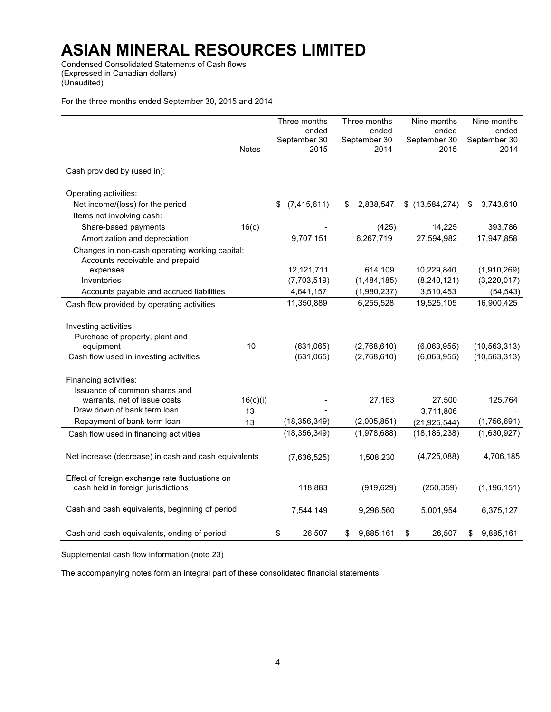Condensed Consolidated Statements of Cash flows (Expressed in Canadian dollars) (Unaudited)

For the three months ended September 30, 2015 and 2014

|                                                                                       |              | Three months        | Three months     | Nine months                      | Nine months     |
|---------------------------------------------------------------------------------------|--------------|---------------------|------------------|----------------------------------|-----------------|
|                                                                                       |              | ended               | ended            | ended                            | ended           |
|                                                                                       |              | September 30        | September 30     | September 30                     | September 30    |
|                                                                                       | <b>Notes</b> | 2015                | 2014             | 2015                             | 2014            |
| Cash provided by (used in):                                                           |              |                     |                  |                                  |                 |
| Operating activities:                                                                 |              |                     |                  |                                  |                 |
| Net income/(loss) for the period                                                      |              | (7, 415, 611)<br>\$ | 2,838,547<br>\$. | \$(13,584,274)                   | 3,743,610<br>\$ |
| Items not involving cash:                                                             |              |                     |                  |                                  |                 |
| Share-based payments                                                                  | 16(c)        |                     | (425)            | 14,225                           | 393,786         |
| Amortization and depreciation                                                         |              | 9,707,151           | 6,267,719        | 27,594,982                       | 17,947,858      |
| Changes in non-cash operating working capital:                                        |              |                     |                  |                                  |                 |
| Accounts receivable and prepaid                                                       |              |                     |                  |                                  |                 |
| expenses                                                                              |              | 12,121,711          | 614,109          | 10,229,840                       | (1,910,269)     |
| Inventories                                                                           |              | (7,703,519)         | (1,484,185)      | (8, 240, 121)                    | (3,220,017)     |
| Accounts payable and accrued liabilities                                              |              | 4,641,157           | (1,980,237)      | 3,510,453                        | (54, 543)       |
| Cash flow provided by operating activities                                            |              | 11,350,889          | 6,255,528        | 19,525,105                       | 16,900,425      |
|                                                                                       |              |                     |                  |                                  |                 |
| Investing activities:                                                                 |              |                     |                  |                                  |                 |
| Purchase of property, plant and                                                       |              |                     |                  |                                  |                 |
| equipment                                                                             | 10           | (631,065)           | (2,768,610)      | (6,063,955)                      | (10, 563, 313)  |
| Cash flow used in investing activities                                                |              | (631,065)           | (2,768,610)      | (6,063,955)                      | (10, 563, 313)  |
|                                                                                       |              |                     |                  |                                  |                 |
| Financing activities:                                                                 |              |                     |                  |                                  |                 |
| Issuance of common shares and                                                         |              |                     |                  |                                  |                 |
| warrants, net of issue costs<br>Draw down of bank term loan                           | 16(c)(i)     |                     | 27,163           | 27,500                           | 125,764         |
| Repayment of bank term loan                                                           | 13           | (18, 356, 349)      | (2,005,851)      | 3,711,806                        | (1,756,691)     |
|                                                                                       | 13           | (18, 356, 349)      |                  | (21, 925, 544)<br>(18, 186, 238) |                 |
| Cash flow used in financing activities                                                |              |                     | (1,978,688)      |                                  | (1,630,927)     |
|                                                                                       |              |                     |                  |                                  |                 |
| Net increase (decrease) in cash and cash equivalents                                  |              | (7,636,525)         | 1,508,230        | (4,725,088)                      | 4,706,185       |
|                                                                                       |              |                     |                  |                                  |                 |
| Effect of foreign exchange rate fluctuations on<br>cash held in foreign jurisdictions |              | 118,883             | (919, 629)       | (250, 359)                       | (1, 196, 151)   |
|                                                                                       |              |                     |                  |                                  |                 |
| Cash and cash equivalents, beginning of period                                        |              | 7,544,149           | 9,296,560        | 5,001,954                        | 6,375,127       |
|                                                                                       |              |                     |                  |                                  |                 |
| Cash and cash equivalents, ending of period                                           |              | \$<br>26,507        | 9,885,161<br>\$  | \$<br>26,507                     | 9,885,161<br>\$ |
|                                                                                       |              |                     |                  |                                  |                 |

Supplemental cash flow information (note 23)

The accompanying notes form an integral part of these consolidated financial statements.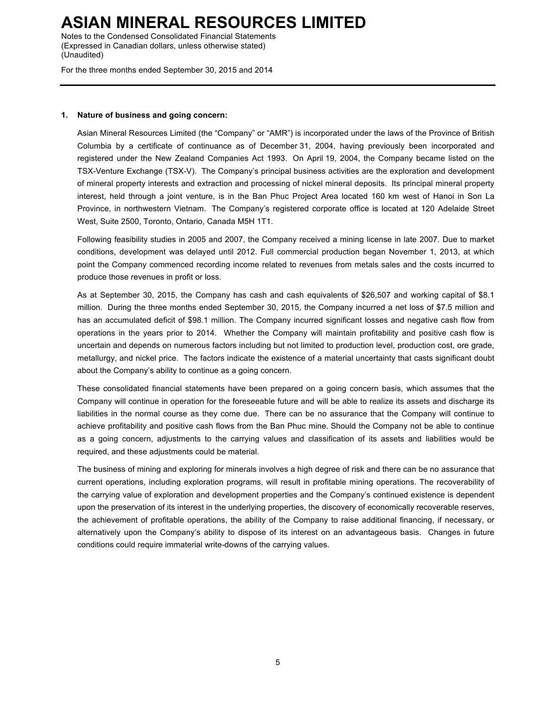Notes to the Condensed Consolidated Financial Statements (Expressed in Canadian dollars, unless otherwise stated) (Unaudited)

For the three months ended September 30, 2015 and 2014

#### **1. Nature of business and going concern:**

Asian Mineral Resources Limited (the "Company" or "AMR") is incorporated under the laws of the Province of British Columbia by a certificate of continuance as of December 31, 2004, having previously been incorporated and registered under the New Zealand Companies Act 1993. On April 19, 2004, the Company became listed on the TSX-Venture Exchange (TSX-V). The Company's principal business activities are the exploration and development of mineral property interests and extraction and processing of nickel mineral deposits. Its principal mineral property interest, held through a joint venture, is in the Ban Phuc Project Area located 160 km west of Hanoi in Son La Province, in northwestern Vietnam. The Company's registered corporate office is located at 120 Adelaide Street West, Suite 2500, Toronto, Ontario, Canada M5H 1T1.

Following feasibility studies in 2005 and 2007, the Company received a mining license in late 2007. Due to market conditions, development was delayed until 2012. Full commercial production began November 1, 2013, at which point the Company commenced recording income related to revenues from metals sales and the costs incurred to produce those revenues in profit or loss.

As at September 30, 2015, the Company has cash and cash equivalents of \$26,507 and working capital of \$8.1 million. During the three months ended September 30, 2015, the Company incurred a net loss of \$7.5 million and has an accumulated deficit of \$98.1 million. The Company incurred significant losses and negative cash flow from operations in the years prior to 2014. Whether the Company will maintain profitability and positive cash flow is uncertain and depends on numerous factors including but not limited to production level, production cost, ore grade, metallurgy, and nickel price. The factors indicate the existence of a material uncertainty that casts significant doubt about the Company's ability to continue as a going concern.

These consolidated financial statements have been prepared on a going concern basis, which assumes that the Company will continue in operation for the foreseeable future and will be able to realize its assets and discharge its liabilities in the normal course as they come due. There can be no assurance that the Company will continue to achieve profitability and positive cash flows from the Ban Phuc mine. Should the Company not be able to continue as a going concern, adjustments to the carrying values and classification of its assets and liabilities would be required, and these adjustments could be material.

The business of mining and exploring for minerals involves a high degree of risk and there can be no assurance that current operations, including exploration programs, will result in profitable mining operations. The recoverability of the carrying value of exploration and development properties and the Company's continued existence is dependent upon the preservation of its interest in the underlying properties, the discovery of economically recoverable reserves, the achievement of profitable operations, the ability of the Company to raise additional financing, if necessary, or alternatively upon the Company's ability to dispose of its interest on an advantageous basis. Changes in future conditions could require immaterial write-downs of the carrying values.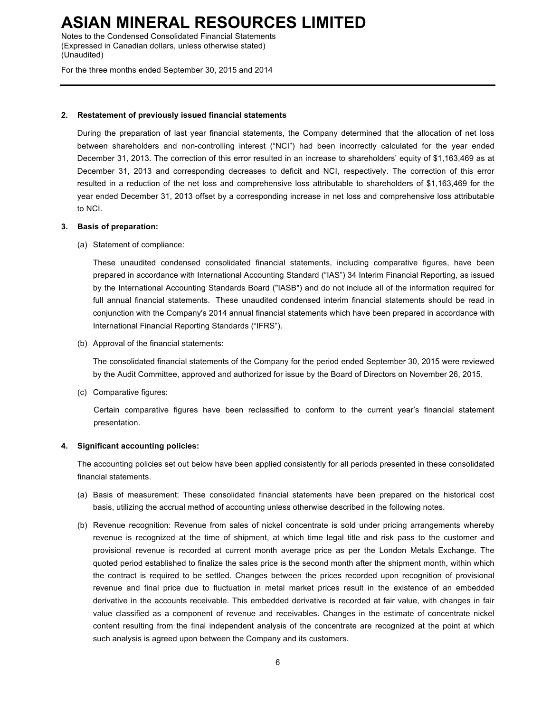Notes to the Condensed Consolidated Financial Statements (Expressed in Canadian dollars, unless otherwise stated) (Unaudited)

For the three months ended September 30, 2015 and 2014

#### **2. Restatement of previously issued financial statements**

During the preparation of last year financial statements, the Company determined that the allocation of net loss between shareholders and non-controlling interest ("NCI") had been incorrectly calculated for the year ended December 31, 2013. The correction of this error resulted in an increase to shareholders' equity of \$1,163,469 as at December 31, 2013 and corresponding decreases to deficit and NCI, respectively. The correction of this error resulted in a reduction of the net loss and comprehensive loss attributable to shareholders of \$1,163,469 for the year ended December 31, 2013 offset by a corresponding increase in net loss and comprehensive loss attributable to NCI.

#### **3. Basis of preparation:**

(a) Statement of compliance:

These unaudited condensed consolidated financial statements, including comparative figures, have been prepared in accordance with International Accounting Standard ("IAS") 34 Interim Financial Reporting, as issued by the International Accounting Standards Board ("IASB") and do not include all of the information required for full annual financial statements. These unaudited condensed interim financial statements should be read in conjunction with the Company's 2014 annual financial statements which have been prepared in accordance with International Financial Reporting Standards ("IFRS").

(b) Approval of the financial statements:

The consolidated financial statements of the Company for the period ended September 30, 2015 were reviewed by the Audit Committee, approved and authorized for issue by the Board of Directors on November 26, 2015.

(c) Comparative figures:

Certain comparative figures have been reclassified to conform to the current year's financial statement presentation.

#### **4. Significant accounting policies:**

The accounting policies set out below have been applied consistently for all periods presented in these consolidated financial statements.

- (a) Basis of measurement: These consolidated financial statements have been prepared on the historical cost basis, utilizing the accrual method of accounting unless otherwise described in the following notes.
- (b) Revenue recognition: Revenue from sales of nickel concentrate is sold under pricing arrangements whereby revenue is recognized at the time of shipment, at which time legal title and risk pass to the customer and provisional revenue is recorded at current month average price as per the London Metals Exchange. The quoted period established to finalize the sales price is the second month after the shipment month, within which the contract is required to be settled. Changes between the prices recorded upon recognition of provisional revenue and final price due to fluctuation in metal market prices result in the existence of an embedded derivative in the accounts receivable. This embedded derivative is recorded at fair value, with changes in fair value classified as a component of revenue and receivables. Changes in the estimate of concentrate nickel content resulting from the final independent analysis of the concentrate are recognized at the point at which such analysis is agreed upon between the Company and its customers.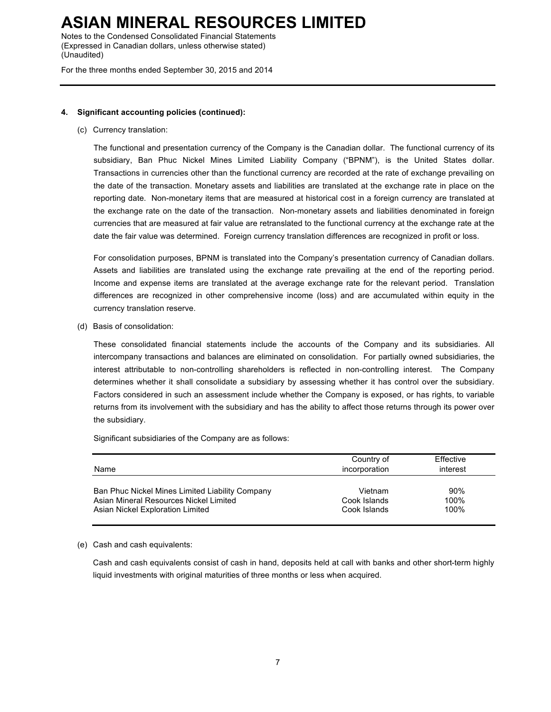Notes to the Condensed Consolidated Financial Statements (Expressed in Canadian dollars, unless otherwise stated) (Unaudited)

For the three months ended September 30, 2015 and 2014

#### **4. Significant accounting policies (continued):**

(c) Currency translation:

The functional and presentation currency of the Company is the Canadian dollar. The functional currency of its subsidiary, Ban Phuc Nickel Mines Limited Liability Company ("BPNM"), is the United States dollar. Transactions in currencies other than the functional currency are recorded at the rate of exchange prevailing on the date of the transaction. Monetary assets and liabilities are translated at the exchange rate in place on the reporting date. Non-monetary items that are measured at historical cost in a foreign currency are translated at the exchange rate on the date of the transaction. Non-monetary assets and liabilities denominated in foreign currencies that are measured at fair value are retranslated to the functional currency at the exchange rate at the date the fair value was determined. Foreign currency translation differences are recognized in profit or loss.

For consolidation purposes, BPNM is translated into the Company's presentation currency of Canadian dollars. Assets and liabilities are translated using the exchange rate prevailing at the end of the reporting period. Income and expense items are translated at the average exchange rate for the relevant period. Translation differences are recognized in other comprehensive income (loss) and are accumulated within equity in the currency translation reserve.

(d) Basis of consolidation:

These consolidated financial statements include the accounts of the Company and its subsidiaries. All intercompany transactions and balances are eliminated on consolidation. For partially owned subsidiaries, the interest attributable to non-controlling shareholders is reflected in non-controlling interest. The Company determines whether it shall consolidate a subsidiary by assessing whether it has control over the subsidiary. Factors considered in such an assessment include whether the Company is exposed, or has rights, to variable returns from its involvement with the subsidiary and has the ability to affect those returns through its power over the subsidiary.

Significant subsidiaries of the Company are as follows:

| Name                                            | Country of<br>incorporation | Effective<br>interest |
|-------------------------------------------------|-----------------------------|-----------------------|
| Ban Phuc Nickel Mines Limited Liability Company | Vietnam                     | 90%                   |
| Asian Mineral Resources Nickel Limited          | Cook Islands                | 100%                  |
| Asian Nickel Exploration Limited                | Cook Islands                | 100%                  |

(e) Cash and cash equivalents:

Cash and cash equivalents consist of cash in hand, deposits held at call with banks and other short-term highly liquid investments with original maturities of three months or less when acquired.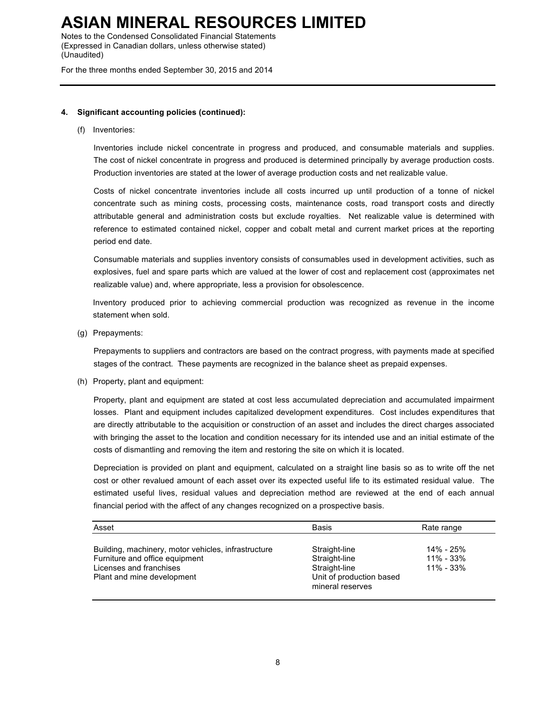Notes to the Condensed Consolidated Financial Statements (Expressed in Canadian dollars, unless otherwise stated) (Unaudited)

For the three months ended September 30, 2015 and 2014

#### **4. Significant accounting policies (continued):**

(f) Inventories:

Inventories include nickel concentrate in progress and produced, and consumable materials and supplies. The cost of nickel concentrate in progress and produced is determined principally by average production costs. Production inventories are stated at the lower of average production costs and net realizable value.

Costs of nickel concentrate inventories include all costs incurred up until production of a tonne of nickel concentrate such as mining costs, processing costs, maintenance costs, road transport costs and directly attributable general and administration costs but exclude royalties. Net realizable value is determined with reference to estimated contained nickel, copper and cobalt metal and current market prices at the reporting period end date.

Consumable materials and supplies inventory consists of consumables used in development activities, such as explosives, fuel and spare parts which are valued at the lower of cost and replacement cost (approximates net realizable value) and, where appropriate, less a provision for obsolescence.

Inventory produced prior to achieving commercial production was recognized as revenue in the income statement when sold.

(g) Prepayments:

Prepayments to suppliers and contractors are based on the contract progress, with payments made at specified stages of the contract. These payments are recognized in the balance sheet as prepaid expenses.

(h) Property, plant and equipment:

Property, plant and equipment are stated at cost less accumulated depreciation and accumulated impairment losses. Plant and equipment includes capitalized development expenditures. Cost includes expenditures that are directly attributable to the acquisition or construction of an asset and includes the direct charges associated with bringing the asset to the location and condition necessary for its intended use and an initial estimate of the costs of dismantling and removing the item and restoring the site on which it is located.

Depreciation is provided on plant and equipment, calculated on a straight line basis so as to write off the net cost or other revalued amount of each asset over its expected useful life to its estimated residual value. The estimated useful lives, residual values and depreciation method are reviewed at the end of each annual financial period with the affect of any changes recognized on a prospective basis.

| Asset                                                                                                                                          | <b>Basis</b>                                                                                    | Rate range                                  |
|------------------------------------------------------------------------------------------------------------------------------------------------|-------------------------------------------------------------------------------------------------|---------------------------------------------|
| Building, machinery, motor vehicles, infrastructure<br>Furniture and office equipment<br>Licenses and franchises<br>Plant and mine development | Straight-line<br>Straight-line<br>Straight-line<br>Unit of production based<br>mineral reserves | 14% - 25%<br>$11\% - 33\%$<br>$11\% - 33\%$ |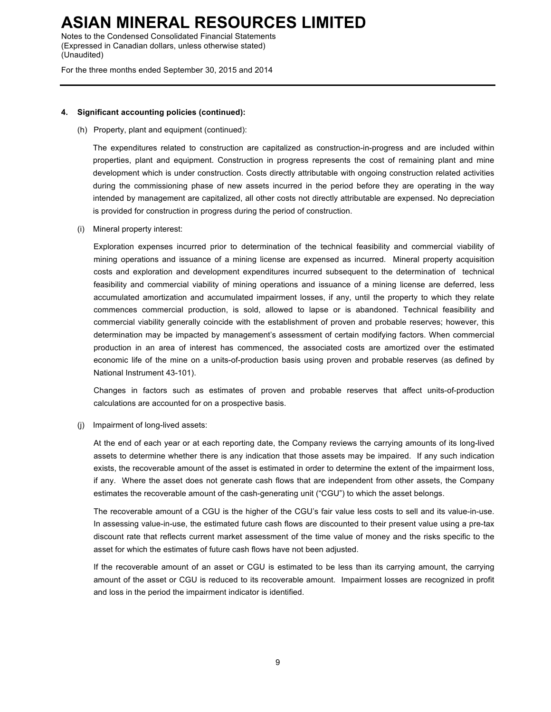Notes to the Condensed Consolidated Financial Statements (Expressed in Canadian dollars, unless otherwise stated) (Unaudited)

For the three months ended September 30, 2015 and 2014

#### **4. Significant accounting policies (continued):**

#### (h) Property, plant and equipment (continued):

The expenditures related to construction are capitalized as construction-in-progress and are included within properties, plant and equipment. Construction in progress represents the cost of remaining plant and mine development which is under construction. Costs directly attributable with ongoing construction related activities during the commissioning phase of new assets incurred in the period before they are operating in the way intended by management are capitalized, all other costs not directly attributable are expensed. No depreciation is provided for construction in progress during the period of construction.

(i) Mineral property interest:

Exploration expenses incurred prior to determination of the technical feasibility and commercial viability of mining operations and issuance of a mining license are expensed as incurred. Mineral property acquisition costs and exploration and development expenditures incurred subsequent to the determination of technical feasibility and commercial viability of mining operations and issuance of a mining license are deferred, less accumulated amortization and accumulated impairment losses, if any, until the property to which they relate commences commercial production, is sold, allowed to lapse or is abandoned. Technical feasibility and commercial viability generally coincide with the establishment of proven and probable reserves; however, this determination may be impacted by management's assessment of certain modifying factors. When commercial production in an area of interest has commenced, the associated costs are amortized over the estimated economic life of the mine on a units-of-production basis using proven and probable reserves (as defined by National Instrument 43-101).

Changes in factors such as estimates of proven and probable reserves that affect units-of-production calculations are accounted for on a prospective basis.

(j) Impairment of long-lived assets:

At the end of each year or at each reporting date, the Company reviews the carrying amounts of its long-lived assets to determine whether there is any indication that those assets may be impaired. If any such indication exists, the recoverable amount of the asset is estimated in order to determine the extent of the impairment loss, if any. Where the asset does not generate cash flows that are independent from other assets, the Company estimates the recoverable amount of the cash-generating unit ("CGU") to which the asset belongs.

The recoverable amount of a CGU is the higher of the CGU's fair value less costs to sell and its value-in-use. In assessing value-in-use, the estimated future cash flows are discounted to their present value using a pre-tax discount rate that reflects current market assessment of the time value of money and the risks specific to the asset for which the estimates of future cash flows have not been adjusted.

If the recoverable amount of an asset or CGU is estimated to be less than its carrying amount, the carrying amount of the asset or CGU is reduced to its recoverable amount. Impairment losses are recognized in profit and loss in the period the impairment indicator is identified.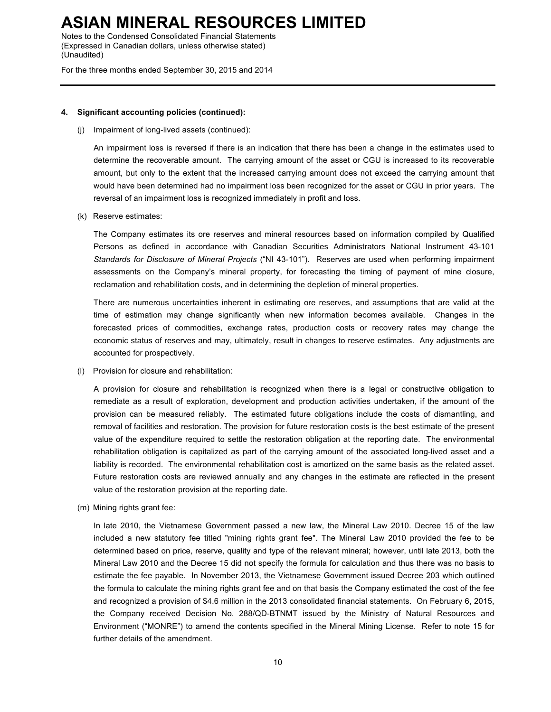Notes to the Condensed Consolidated Financial Statements (Expressed in Canadian dollars, unless otherwise stated) (Unaudited)

For the three months ended September 30, 2015 and 2014

#### **4. Significant accounting policies (continued):**

(j) Impairment of long-lived assets (continued):

An impairment loss is reversed if there is an indication that there has been a change in the estimates used to determine the recoverable amount. The carrying amount of the asset or CGU is increased to its recoverable amount, but only to the extent that the increased carrying amount does not exceed the carrying amount that would have been determined had no impairment loss been recognized for the asset or CGU in prior years. The reversal of an impairment loss is recognized immediately in profit and loss.

(k) Reserve estimates:

The Company estimates its ore reserves and mineral resources based on information compiled by Qualified Persons as defined in accordance with Canadian Securities Administrators National Instrument 43-101 *Standards for Disclosure of Mineral Projects* ("NI 43-101"). Reserves are used when performing impairment assessments on the Company's mineral property, for forecasting the timing of payment of mine closure, reclamation and rehabilitation costs, and in determining the depletion of mineral properties.

There are numerous uncertainties inherent in estimating ore reserves, and assumptions that are valid at the time of estimation may change significantly when new information becomes available. Changes in the forecasted prices of commodities, exchange rates, production costs or recovery rates may change the economic status of reserves and may, ultimately, result in changes to reserve estimates. Any adjustments are accounted for prospectively.

(l) Provision for closure and rehabilitation:

A provision for closure and rehabilitation is recognized when there is a legal or constructive obligation to remediate as a result of exploration, development and production activities undertaken, if the amount of the provision can be measured reliably. The estimated future obligations include the costs of dismantling, and removal of facilities and restoration. The provision for future restoration costs is the best estimate of the present value of the expenditure required to settle the restoration obligation at the reporting date. The environmental rehabilitation obligation is capitalized as part of the carrying amount of the associated long-lived asset and a liability is recorded. The environmental rehabilitation cost is amortized on the same basis as the related asset. Future restoration costs are reviewed annually and any changes in the estimate are reflected in the present value of the restoration provision at the reporting date.

(m) Mining rights grant fee:

In late 2010, the Vietnamese Government passed a new law, the Mineral Law 2010. Decree 15 of the law included a new statutory fee titled "mining rights grant fee". The Mineral Law 2010 provided the fee to be determined based on price, reserve, quality and type of the relevant mineral; however, until late 2013, both the Mineral Law 2010 and the Decree 15 did not specify the formula for calculation and thus there was no basis to estimate the fee payable. In November 2013, the Vietnamese Government issued Decree 203 which outlined the formula to calculate the mining rights grant fee and on that basis the Company estimated the cost of the fee and recognized a provision of \$4.6 million in the 2013 consolidated financial statements. On February 6, 2015, the Company received Decision No. 288/QD-BTNMT issued by the Ministry of Natural Resources and Environment ("MONRE") to amend the contents specified in the Mineral Mining License. Refer to note 15 for further details of the amendment.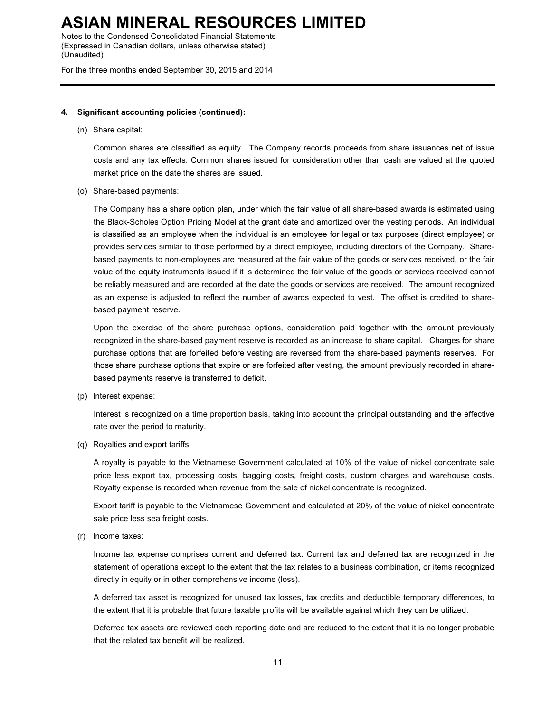Notes to the Condensed Consolidated Financial Statements (Expressed in Canadian dollars, unless otherwise stated) (Unaudited)

For the three months ended September 30, 2015 and 2014

#### **4. Significant accounting policies (continued):**

(n) Share capital:

Common shares are classified as equity. The Company records proceeds from share issuances net of issue costs and any tax effects. Common shares issued for consideration other than cash are valued at the quoted market price on the date the shares are issued.

(o) Share-based payments:

The Company has a share option plan, under which the fair value of all share-based awards is estimated using the Black-Scholes Option Pricing Model at the grant date and amortized over the vesting periods. An individual is classified as an employee when the individual is an employee for legal or tax purposes (direct employee) or provides services similar to those performed by a direct employee, including directors of the Company. Sharebased payments to non-employees are measured at the fair value of the goods or services received, or the fair value of the equity instruments issued if it is determined the fair value of the goods or services received cannot be reliably measured and are recorded at the date the goods or services are received. The amount recognized as an expense is adjusted to reflect the number of awards expected to vest. The offset is credited to sharebased payment reserve.

Upon the exercise of the share purchase options, consideration paid together with the amount previously recognized in the share-based payment reserve is recorded as an increase to share capital. Charges for share purchase options that are forfeited before vesting are reversed from the share-based payments reserves. For those share purchase options that expire or are forfeited after vesting, the amount previously recorded in sharebased payments reserve is transferred to deficit.

(p) Interest expense:

Interest is recognized on a time proportion basis, taking into account the principal outstanding and the effective rate over the period to maturity.

(q) Royalties and export tariffs:

A royalty is payable to the Vietnamese Government calculated at 10% of the value of nickel concentrate sale price less export tax, processing costs, bagging costs, freight costs, custom charges and warehouse costs. Royalty expense is recorded when revenue from the sale of nickel concentrate is recognized.

Export tariff is payable to the Vietnamese Government and calculated at 20% of the value of nickel concentrate sale price less sea freight costs.

(r) Income taxes:

Income tax expense comprises current and deferred tax. Current tax and deferred tax are recognized in the statement of operations except to the extent that the tax relates to a business combination, or items recognized directly in equity or in other comprehensive income (loss).

A deferred tax asset is recognized for unused tax losses, tax credits and deductible temporary differences, to the extent that it is probable that future taxable profits will be available against which they can be utilized.

Deferred tax assets are reviewed each reporting date and are reduced to the extent that it is no longer probable that the related tax benefit will be realized.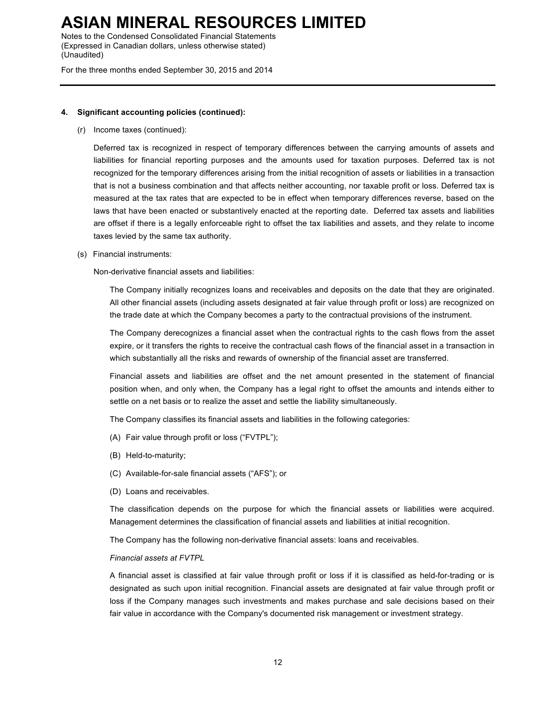Notes to the Condensed Consolidated Financial Statements (Expressed in Canadian dollars, unless otherwise stated) (Unaudited)

For the three months ended September 30, 2015 and 2014

#### **4. Significant accounting policies (continued):**

(r) Income taxes (continued):

Deferred tax is recognized in respect of temporary differences between the carrying amounts of assets and liabilities for financial reporting purposes and the amounts used for taxation purposes. Deferred tax is not recognized for the temporary differences arising from the initial recognition of assets or liabilities in a transaction that is not a business combination and that affects neither accounting, nor taxable profit or loss. Deferred tax is measured at the tax rates that are expected to be in effect when temporary differences reverse, based on the laws that have been enacted or substantively enacted at the reporting date. Deferred tax assets and liabilities are offset if there is a legally enforceable right to offset the tax liabilities and assets, and they relate to income taxes levied by the same tax authority.

(s) Financial instruments:

Non-derivative financial assets and liabilities:

The Company initially recognizes loans and receivables and deposits on the date that they are originated. All other financial assets (including assets designated at fair value through profit or loss) are recognized on the trade date at which the Company becomes a party to the contractual provisions of the instrument.

The Company derecognizes a financial asset when the contractual rights to the cash flows from the asset expire, or it transfers the rights to receive the contractual cash flows of the financial asset in a transaction in which substantially all the risks and rewards of ownership of the financial asset are transferred.

Financial assets and liabilities are offset and the net amount presented in the statement of financial position when, and only when, the Company has a legal right to offset the amounts and intends either to settle on a net basis or to realize the asset and settle the liability simultaneously.

The Company classifies its financial assets and liabilities in the following categories:

- (A) Fair value through profit or loss ("FVTPL");
- (B) Held-to-maturity;
- (C) Available-for-sale financial assets ("AFS"); or
- (D) Loans and receivables.

The classification depends on the purpose for which the financial assets or liabilities were acquired. Management determines the classification of financial assets and liabilities at initial recognition.

The Company has the following non-derivative financial assets: loans and receivables.

#### *Financial assets at FVTPL*

A financial asset is classified at fair value through profit or loss if it is classified as held-for-trading or is designated as such upon initial recognition. Financial assets are designated at fair value through profit or loss if the Company manages such investments and makes purchase and sale decisions based on their fair value in accordance with the Company's documented risk management or investment strategy.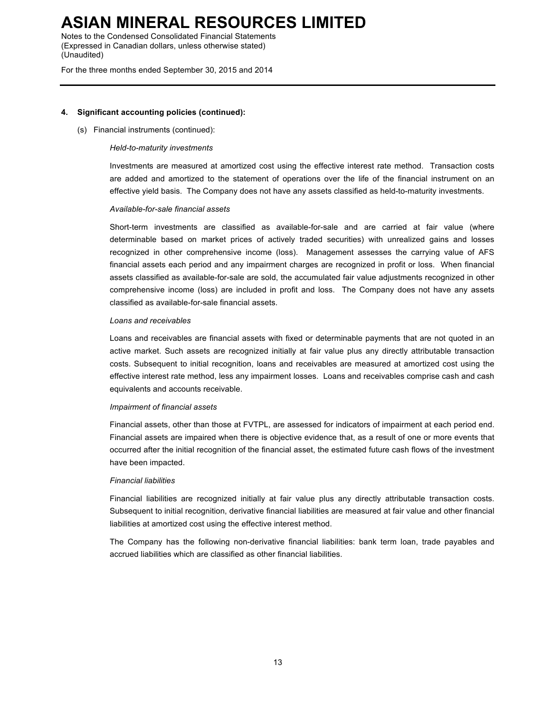Notes to the Condensed Consolidated Financial Statements (Expressed in Canadian dollars, unless otherwise stated) (Unaudited)

For the three months ended September 30, 2015 and 2014

#### **4. Significant accounting policies (continued):**

(s) Financial instruments (continued):

#### *Held-to-maturity investments*

Investments are measured at amortized cost using the effective interest rate method. Transaction costs are added and amortized to the statement of operations over the life of the financial instrument on an effective yield basis. The Company does not have any assets classified as held-to-maturity investments.

#### *Available-for-sale financial assets*

Short-term investments are classified as available-for-sale and are carried at fair value (where determinable based on market prices of actively traded securities) with unrealized gains and losses recognized in other comprehensive income (loss). Management assesses the carrying value of AFS financial assets each period and any impairment charges are recognized in profit or loss. When financial assets classified as available-for-sale are sold, the accumulated fair value adjustments recognized in other comprehensive income (loss) are included in profit and loss. The Company does not have any assets classified as available-for-sale financial assets.

#### *Loans and receivables*

Loans and receivables are financial assets with fixed or determinable payments that are not quoted in an active market. Such assets are recognized initially at fair value plus any directly attributable transaction costs. Subsequent to initial recognition, loans and receivables are measured at amortized cost using the effective interest rate method, less any impairment losses. Loans and receivables comprise cash and cash equivalents and accounts receivable.

#### *Impairment of financial assets*

Financial assets, other than those at FVTPL, are assessed for indicators of impairment at each period end. Financial assets are impaired when there is objective evidence that, as a result of one or more events that occurred after the initial recognition of the financial asset, the estimated future cash flows of the investment have been impacted.

#### *Financial liabilities*

Financial liabilities are recognized initially at fair value plus any directly attributable transaction costs. Subsequent to initial recognition, derivative financial liabilities are measured at fair value and other financial liabilities at amortized cost using the effective interest method.

The Company has the following non-derivative financial liabilities: bank term loan, trade payables and accrued liabilities which are classified as other financial liabilities.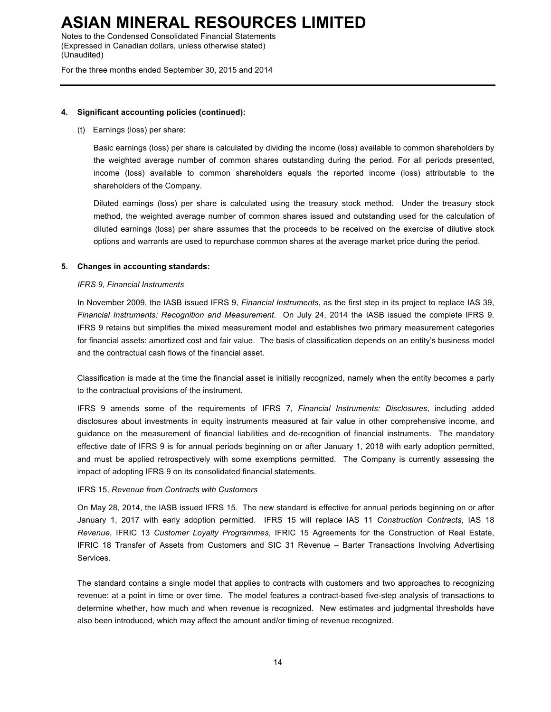Notes to the Condensed Consolidated Financial Statements (Expressed in Canadian dollars, unless otherwise stated) (Unaudited)

For the three months ended September 30, 2015 and 2014

#### **4. Significant accounting policies (continued):**

(t) Earnings (loss) per share:

Basic earnings (loss) per share is calculated by dividing the income (loss) available to common shareholders by the weighted average number of common shares outstanding during the period. For all periods presented, income (loss) available to common shareholders equals the reported income (loss) attributable to the shareholders of the Company.

Diluted earnings (loss) per share is calculated using the treasury stock method. Under the treasury stock method, the weighted average number of common shares issued and outstanding used for the calculation of diluted earnings (loss) per share assumes that the proceeds to be received on the exercise of dilutive stock options and warrants are used to repurchase common shares at the average market price during the period.

#### **5. Changes in accounting standards:**

#### *IFRS 9, Financial Instruments*

In November 2009, the IASB issued IFRS 9, *Financial Instruments*, as the first step in its project to replace IAS 39, *Financial Instruments: Recognition and Measurement*. On July 24, 2014 the IASB issued the complete IFRS 9. IFRS 9 retains but simplifies the mixed measurement model and establishes two primary measurement categories for financial assets: amortized cost and fair value. The basis of classification depends on an entity's business model and the contractual cash flows of the financial asset.

Classification is made at the time the financial asset is initially recognized, namely when the entity becomes a party to the contractual provisions of the instrument.

IFRS 9 amends some of the requirements of IFRS 7, *Financial Instruments: Disclosures*, including added disclosures about investments in equity instruments measured at fair value in other comprehensive income, and guidance on the measurement of financial liabilities and de-recognition of financial instruments. The mandatory effective date of IFRS 9 is for annual periods beginning on or after January 1, 2018 with early adoption permitted, and must be applied retrospectively with some exemptions permitted. The Company is currently assessing the impact of adopting IFRS 9 on its consolidated financial statements.

IFRS 15, *Revenue from Contracts with Customers*

On May 28, 2014, the IASB issued IFRS 15. The new standard is effective for annual periods beginning on or after January 1, 2017 with early adoption permitted. IFRS 15 will replace IAS 11 *Construction Contracts*, IAS 18 *Revenue*, IFRIC 13 *Customer Loyalty Programmes*, IFRIC 15 Agreements for the Construction of Real Estate, IFRIC 18 Transfer of Assets from Customers and SIC 31 Revenue – Barter Transactions Involving Advertising Services.

The standard contains a single model that applies to contracts with customers and two approaches to recognizing revenue: at a point in time or over time. The model features a contract-based five-step analysis of transactions to determine whether, how much and when revenue is recognized. New estimates and judgmental thresholds have also been introduced, which may affect the amount and/or timing of revenue recognized.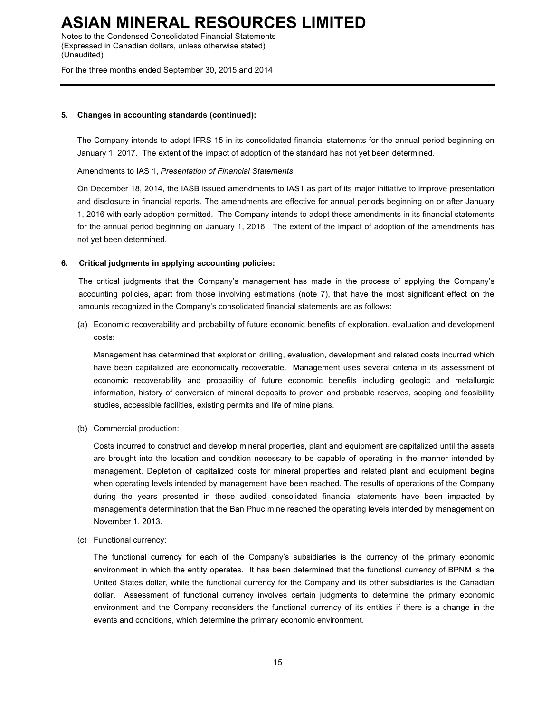Notes to the Condensed Consolidated Financial Statements (Expressed in Canadian dollars, unless otherwise stated) (Unaudited)

For the three months ended September 30, 2015 and 2014

#### **5. Changes in accounting standards (continued):**

The Company intends to adopt IFRS 15 in its consolidated financial statements for the annual period beginning on January 1, 2017. The extent of the impact of adoption of the standard has not yet been determined.

Amendments to IAS 1, *Presentation of Financial Statements*

On December 18, 2014, the IASB issued amendments to IAS1 as part of its major initiative to improve presentation and disclosure in financial reports. The amendments are effective for annual periods beginning on or after January 1, 2016 with early adoption permitted. The Company intends to adopt these amendments in its financial statements for the annual period beginning on January 1, 2016. The extent of the impact of adoption of the amendments has not yet been determined.

#### **6. Critical judgments in applying accounting policies:**

The critical judgments that the Company's management has made in the process of applying the Company's accounting policies, apart from those involving estimations (note 7), that have the most significant effect on the amounts recognized in the Company's consolidated financial statements are as follows:

(a) Economic recoverability and probability of future economic benefits of exploration, evaluation and development costs:

Management has determined that exploration drilling, evaluation, development and related costs incurred which have been capitalized are economically recoverable. Management uses several criteria in its assessment of economic recoverability and probability of future economic benefits including geologic and metallurgic information, history of conversion of mineral deposits to proven and probable reserves, scoping and feasibility studies, accessible facilities, existing permits and life of mine plans.

(b) Commercial production:

Costs incurred to construct and develop mineral properties, plant and equipment are capitalized until the assets are brought into the location and condition necessary to be capable of operating in the manner intended by management. Depletion of capitalized costs for mineral properties and related plant and equipment begins when operating levels intended by management have been reached. The results of operations of the Company during the years presented in these audited consolidated financial statements have been impacted by management's determination that the Ban Phuc mine reached the operating levels intended by management on November 1, 2013.

(c) Functional currency:

The functional currency for each of the Company's subsidiaries is the currency of the primary economic environment in which the entity operates. It has been determined that the functional currency of BPNM is the United States dollar, while the functional currency for the Company and its other subsidiaries is the Canadian dollar. Assessment of functional currency involves certain judgments to determine the primary economic environment and the Company reconsiders the functional currency of its entities if there is a change in the events and conditions, which determine the primary economic environment.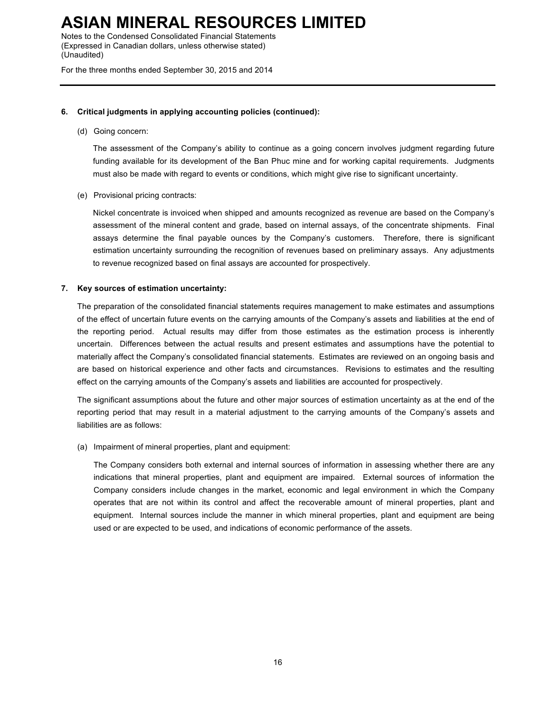Notes to the Condensed Consolidated Financial Statements (Expressed in Canadian dollars, unless otherwise stated) (Unaudited)

For the three months ended September 30, 2015 and 2014

#### **6. Critical judgments in applying accounting policies (continued):**

(d) Going concern:

The assessment of the Company's ability to continue as a going concern involves judgment regarding future funding available for its development of the Ban Phuc mine and for working capital requirements. Judgments must also be made with regard to events or conditions, which might give rise to significant uncertainty.

(e) Provisional pricing contracts:

Nickel concentrate is invoiced when shipped and amounts recognized as revenue are based on the Company's assessment of the mineral content and grade, based on internal assays, of the concentrate shipments. Final assays determine the final payable ounces by the Company's customers. Therefore, there is significant estimation uncertainty surrounding the recognition of revenues based on preliminary assays. Any adjustments to revenue recognized based on final assays are accounted for prospectively.

#### **7. Key sources of estimation uncertainty:**

The preparation of the consolidated financial statements requires management to make estimates and assumptions of the effect of uncertain future events on the carrying amounts of the Company's assets and liabilities at the end of the reporting period. Actual results may differ from those estimates as the estimation process is inherently uncertain. Differences between the actual results and present estimates and assumptions have the potential to materially affect the Company's consolidated financial statements. Estimates are reviewed on an ongoing basis and are based on historical experience and other facts and circumstances. Revisions to estimates and the resulting effect on the carrying amounts of the Company's assets and liabilities are accounted for prospectively.

The significant assumptions about the future and other major sources of estimation uncertainty as at the end of the reporting period that may result in a material adjustment to the carrying amounts of the Company's assets and liabilities are as follows:

(a) Impairment of mineral properties, plant and equipment:

The Company considers both external and internal sources of information in assessing whether there are any indications that mineral properties, plant and equipment are impaired. External sources of information the Company considers include changes in the market, economic and legal environment in which the Company operates that are not within its control and affect the recoverable amount of mineral properties, plant and equipment. Internal sources include the manner in which mineral properties, plant and equipment are being used or are expected to be used, and indications of economic performance of the assets.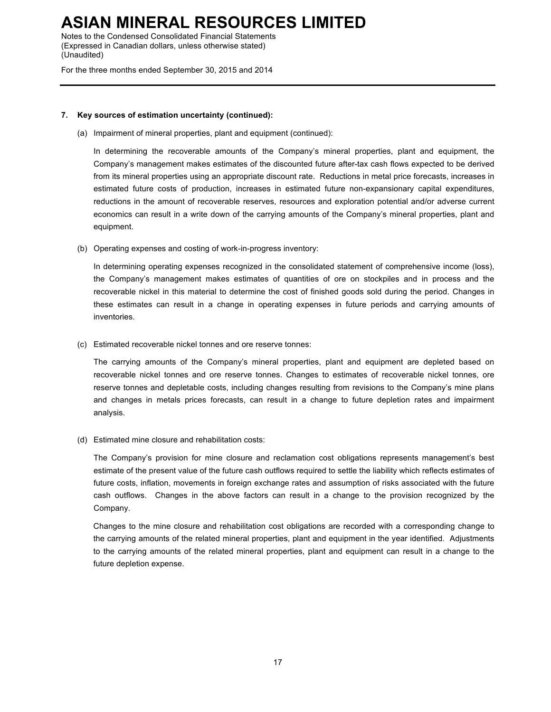Notes to the Condensed Consolidated Financial Statements (Expressed in Canadian dollars, unless otherwise stated) (Unaudited)

For the three months ended September 30, 2015 and 2014

#### **7. Key sources of estimation uncertainty (continued):**

(a) Impairment of mineral properties, plant and equipment (continued):

In determining the recoverable amounts of the Company's mineral properties, plant and equipment, the Company's management makes estimates of the discounted future after-tax cash flows expected to be derived from its mineral properties using an appropriate discount rate. Reductions in metal price forecasts, increases in estimated future costs of production, increases in estimated future non-expansionary capital expenditures, reductions in the amount of recoverable reserves, resources and exploration potential and/or adverse current economics can result in a write down of the carrying amounts of the Company's mineral properties, plant and equipment.

(b) Operating expenses and costing of work-in-progress inventory:

In determining operating expenses recognized in the consolidated statement of comprehensive income (loss), the Company's management makes estimates of quantities of ore on stockpiles and in process and the recoverable nickel in this material to determine the cost of finished goods sold during the period. Changes in these estimates can result in a change in operating expenses in future periods and carrying amounts of inventories.

(c) Estimated recoverable nickel tonnes and ore reserve tonnes:

The carrying amounts of the Company's mineral properties, plant and equipment are depleted based on recoverable nickel tonnes and ore reserve tonnes. Changes to estimates of recoverable nickel tonnes, ore reserve tonnes and depletable costs, including changes resulting from revisions to the Company's mine plans and changes in metals prices forecasts, can result in a change to future depletion rates and impairment analysis.

(d) Estimated mine closure and rehabilitation costs:

The Company's provision for mine closure and reclamation cost obligations represents management's best estimate of the present value of the future cash outflows required to settle the liability which reflects estimates of future costs, inflation, movements in foreign exchange rates and assumption of risks associated with the future cash outflows. Changes in the above factors can result in a change to the provision recognized by the Company.

Changes to the mine closure and rehabilitation cost obligations are recorded with a corresponding change to the carrying amounts of the related mineral properties, plant and equipment in the year identified. Adjustments to the carrying amounts of the related mineral properties, plant and equipment can result in a change to the future depletion expense.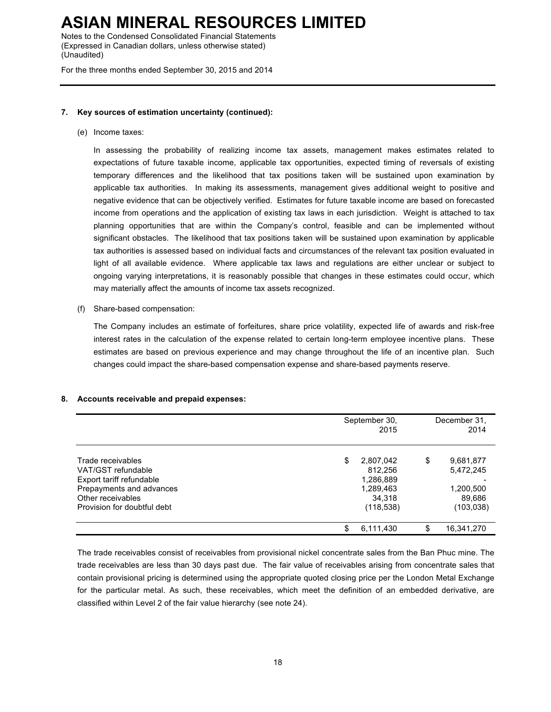Notes to the Condensed Consolidated Financial Statements (Expressed in Canadian dollars, unless otherwise stated) (Unaudited)

For the three months ended September 30, 2015 and 2014

#### **7. Key sources of estimation uncertainty (continued):**

(e) Income taxes:

In assessing the probability of realizing income tax assets, management makes estimates related to expectations of future taxable income, applicable tax opportunities, expected timing of reversals of existing temporary differences and the likelihood that tax positions taken will be sustained upon examination by applicable tax authorities. In making its assessments, management gives additional weight to positive and negative evidence that can be objectively verified. Estimates for future taxable income are based on forecasted income from operations and the application of existing tax laws in each jurisdiction. Weight is attached to tax planning opportunities that are within the Company's control, feasible and can be implemented without significant obstacles. The likelihood that tax positions taken will be sustained upon examination by applicable tax authorities is assessed based on individual facts and circumstances of the relevant tax position evaluated in light of all available evidence. Where applicable tax laws and regulations are either unclear or subject to ongoing varying interpretations, it is reasonably possible that changes in these estimates could occur, which may materially affect the amounts of income tax assets recognized.

(f) Share-based compensation:

The Company includes an estimate of forfeitures, share price volatility, expected life of awards and risk-free interest rates in the calculation of the expense related to certain long-term employee incentive plans. These estimates are based on previous experience and may change throughout the life of an incentive plan. Such changes could impact the share-based compensation expense and share-based payments reserve.

#### **8. Accounts receivable and prepaid expenses:**

|                             | September 30,<br>2015 | December 31,<br>2014 |            |
|-----------------------------|-----------------------|----------------------|------------|
| Trade receivables           | \$<br>2,807,042       | S                    | 9,681,877  |
| VAT/GST refundable          | 812,256               |                      | 5,472,245  |
| Export tariff refundable    | 1,286,889             |                      |            |
| Prepayments and advances    | 1,289,463             |                      | 1,200,500  |
| Other receivables           | 34.318                |                      | 89,686     |
| Provision for doubtful debt | (118, 538)            |                      | (103, 038) |
|                             | \$<br>6,111,430       | S                    | 16,341,270 |

The trade receivables consist of receivables from provisional nickel concentrate sales from the Ban Phuc mine. The trade receivables are less than 30 days past due. The fair value of receivables arising from concentrate sales that contain provisional pricing is determined using the appropriate quoted closing price per the London Metal Exchange for the particular metal. As such, these receivables, which meet the definition of an embedded derivative, are classified within Level 2 of the fair value hierarchy (see note 24).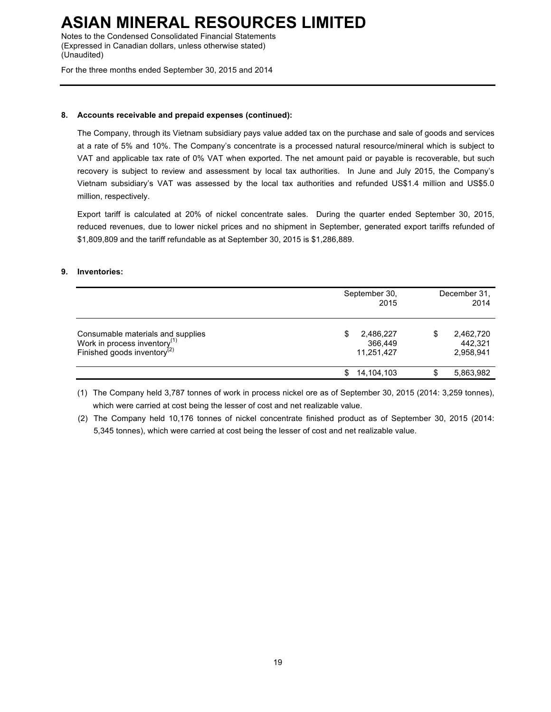Notes to the Condensed Consolidated Financial Statements (Expressed in Canadian dollars, unless otherwise stated) (Unaudited)

For the three months ended September 30, 2015 and 2014

#### **8. Accounts receivable and prepaid expenses (continued):**

The Company, through its Vietnam subsidiary pays value added tax on the purchase and sale of goods and services at a rate of 5% and 10%. The Company's concentrate is a processed natural resource/mineral which is subject to VAT and applicable tax rate of 0% VAT when exported. The net amount paid or payable is recoverable, but such recovery is subject to review and assessment by local tax authorities. In June and July 2015, the Company's Vietnam subsidiary's VAT was assessed by the local tax authorities and refunded US\$1.4 million and US\$5.0 million, respectively.

Export tariff is calculated at 20% of nickel concentrate sales. During the quarter ended September 30, 2015, reduced revenues, due to lower nickel prices and no shipment in September, generated export tariffs refunded of \$1,809,809 and the tariff refundable as at September 30, 2015 is \$1,286,889.

#### **9. Inventories:**

|                                                                                                                          | September 30,<br>2015                    | December 31.<br>2014                    |
|--------------------------------------------------------------------------------------------------------------------------|------------------------------------------|-----------------------------------------|
| Consumable materials and supplies<br>Work in process inventory <sup>(1)</sup><br>Finished goods inventory <sup>(2)</sup> | 2,486,227<br>\$<br>366,449<br>11,251,427 | \$<br>2,462,720<br>442.321<br>2,958,941 |
|                                                                                                                          | 14,104,103<br>S                          | 5,863,982                               |

(1) The Company held 3,787 tonnes of work in process nickel ore as of September 30, 2015 (2014: 3,259 tonnes), which were carried at cost being the lesser of cost and net realizable value.

(2) The Company held 10,176 tonnes of nickel concentrate finished product as of September 30, 2015 (2014: 5,345 tonnes), which were carried at cost being the lesser of cost and net realizable value.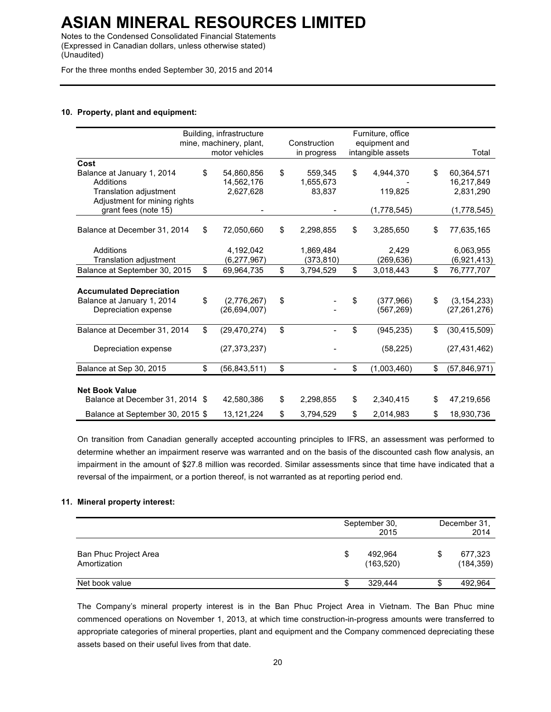Notes to the Condensed Consolidated Financial Statements (Expressed in Canadian dollars, unless otherwise stated) (Unaudited)

For the three months ended September 30, 2015 and 2014

#### **10. Property, plant and equipment:**

|                                                                                       | Building, infrastructure            |                 | Furniture, office             |                                       |
|---------------------------------------------------------------------------------------|-------------------------------------|-----------------|-------------------------------|---------------------------------------|
|                                                                                       | mine, machinery, plant,             | Construction    | equipment and                 |                                       |
|                                                                                       | motor vehicles                      | in progress     | intangible assets             | Total                                 |
| Cost                                                                                  |                                     |                 |                               |                                       |
| Balance at January 1, 2014                                                            | \$<br>54,860,856                    | \$<br>559,345   | \$<br>4,944,370               | \$<br>60,364,571                      |
| Additions                                                                             | 14,562,176                          | 1,655,673       |                               | 16,217,849                            |
| <b>Translation adjustment</b>                                                         | 2,627,628                           | 83,837          | 119,825                       | 2,831,290                             |
| Adjustment for mining rights                                                          |                                     |                 |                               |                                       |
| grant fees (note 15)                                                                  |                                     |                 | (1,778,545)                   | (1,778,545)                           |
| Balance at December 31, 2014                                                          | \$<br>72,050,660                    | \$<br>2,298,855 | \$<br>3,285,650               | \$<br>77,635,165                      |
| Additions                                                                             | 4,192,042                           | 1,869,484       | 2,429                         | 6,063,955                             |
| Translation adjustment                                                                | (6,277,967)                         | (373, 810)      | (269, 636)                    | (6,921,413)                           |
| Balance at September 30, 2015                                                         | \$<br>69,964,735                    | \$<br>3,794,529 | \$<br>3,018,443               | \$<br>76,777,707                      |
| <b>Accumulated Depreciation</b><br>Balance at January 1, 2014<br>Depreciation expense | \$<br>(2,776,267)<br>(26, 694, 007) | \$              | \$<br>(377,966)<br>(567, 269) | \$<br>(3, 154, 233)<br>(27, 261, 276) |
| Balance at December 31, 2014                                                          | \$<br>(29, 470, 274)                | \$              | \$<br>(945, 235)              | \$<br>(30, 415, 509)                  |
| Depreciation expense                                                                  | (27, 373, 237)                      |                 | (58, 225)                     | (27, 431, 462)                        |
| Balance at Sep 30, 2015                                                               | \$<br>(56, 843, 511)                | \$              | \$<br>(1,003,460)             | \$<br>(57,846,971)                    |
| <b>Net Book Value</b>                                                                 |                                     |                 |                               |                                       |
| Balance at December 31, 2014 \$                                                       | 42,580,386                          | \$<br>2,298,855 | \$<br>2,340,415               | \$<br>47,219,656                      |
| Balance at September 30, 2015 \$                                                      | 13, 121, 224                        | \$<br>3,794,529 | \$<br>2,014,983               | \$<br>18,930,736                      |

On transition from Canadian generally accepted accounting principles to IFRS, an assessment was performed to determine whether an impairment reserve was warranted and on the basis of the discounted cash flow analysis, an impairment in the amount of \$27.8 million was recorded. Similar assessments since that time have indicated that a reversal of the impairment, or a portion thereof, is not warranted as at reporting period end.

#### **11. Mineral property interest:**

|                                       |    | September 30,<br>2015 |  |                       |
|---------------------------------------|----|-----------------------|--|-----------------------|
| Ban Phuc Project Area<br>Amortization | \$ | 492.964<br>(163, 520) |  | 677,323<br>(184, 359) |
| Net book value                        | S. | 329.444               |  | 492,964               |

The Company's mineral property interest is in the Ban Phuc Project Area in Vietnam. The Ban Phuc mine commenced operations on November 1, 2013, at which time construction-in-progress amounts were transferred to appropriate categories of mineral properties, plant and equipment and the Company commenced depreciating these assets based on their useful lives from that date.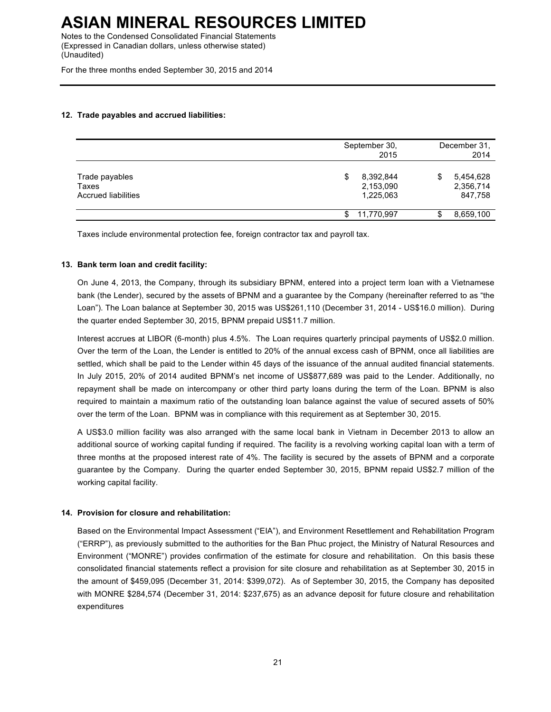Notes to the Condensed Consolidated Financial Statements (Expressed in Canadian dollars, unless otherwise stated) (Unaudited)

For the three months ended September 30, 2015 and 2014

#### **12. Trade payables and accrued liabilities:**

|                                                       | September 30,<br>2015                     | December 31,<br>2014                   |
|-------------------------------------------------------|-------------------------------------------|----------------------------------------|
| Trade payables<br>Taxes<br><b>Accrued liabilities</b> | 8,392,844<br>\$<br>2,153,090<br>1,225,063 | 5,454,628<br>S<br>2,356,714<br>847,758 |
|                                                       | 11,770,997<br>\$                          | 8,659,100<br>D                         |

Taxes include environmental protection fee, foreign contractor tax and payroll tax.

#### **13. Bank term loan and credit facility:**

On June 4, 2013, the Company, through its subsidiary BPNM, entered into a project term loan with a Vietnamese bank (the Lender), secured by the assets of BPNM and a guarantee by the Company (hereinafter referred to as "the Loan"). The Loan balance at September 30, 2015 was US\$261,110 (December 31, 2014 - US\$16.0 million). During the quarter ended September 30, 2015, BPNM prepaid US\$11.7 million.

Interest accrues at LIBOR (6-month) plus 4.5%. The Loan requires quarterly principal payments of US\$2.0 million. Over the term of the Loan, the Lender is entitled to 20% of the annual excess cash of BPNM, once all liabilities are settled, which shall be paid to the Lender within 45 days of the issuance of the annual audited financial statements. In July 2015, 20% of 2014 audited BPNM's net income of US\$877,689 was paid to the Lender. Additionally, no repayment shall be made on intercompany or other third party loans during the term of the Loan. BPNM is also required to maintain a maximum ratio of the outstanding loan balance against the value of secured assets of 50% over the term of the Loan. BPNM was in compliance with this requirement as at September 30, 2015.

A US\$3.0 million facility was also arranged with the same local bank in Vietnam in December 2013 to allow an additional source of working capital funding if required. The facility is a revolving working capital loan with a term of three months at the proposed interest rate of 4%. The facility is secured by the assets of BPNM and a corporate guarantee by the Company. During the quarter ended September 30, 2015, BPNM repaid US\$2.7 million of the working capital facility.

#### **14. Provision for closure and rehabilitation:**

Based on the Environmental Impact Assessment ("EIA"), and Environment Resettlement and Rehabilitation Program ("ERRP"), as previously submitted to the authorities for the Ban Phuc project, the Ministry of Natural Resources and Environment ("MONRE") provides confirmation of the estimate for closure and rehabilitation. On this basis these consolidated financial statements reflect a provision for site closure and rehabilitation as at September 30, 2015 in the amount of \$459,095 (December 31, 2014: \$399,072). As of September 30, 2015, the Company has deposited with MONRE \$284,574 (December 31, 2014: \$237,675) as an advance deposit for future closure and rehabilitation expenditures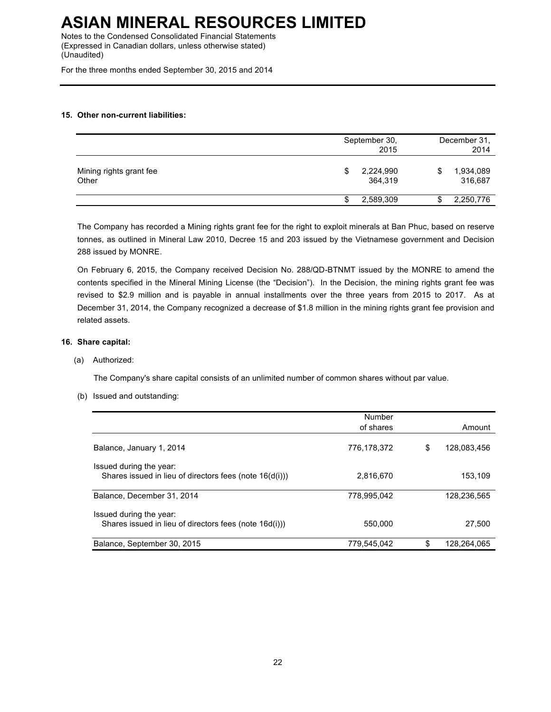Notes to the Condensed Consolidated Financial Statements (Expressed in Canadian dollars, unless otherwise stated) (Unaudited)

For the three months ended September 30, 2015 and 2014

#### **15. Other non-current liabilities:**

|                                  | September 30,<br>2015      |   | December 31,<br>2014 |  |  |
|----------------------------------|----------------------------|---|----------------------|--|--|
| Mining rights grant fee<br>Other | 2,224,990<br>\$<br>364,319 | S | 1,934,089<br>316,687 |  |  |
|                                  | 2,589,309                  | Ф | 2,250,776            |  |  |

The Company has recorded a Mining rights grant fee for the right to exploit minerals at Ban Phuc, based on reserve tonnes, as outlined in Mineral Law 2010, Decree 15 and 203 issued by the Vietnamese government and Decision 288 issued by MONRE.

On February 6, 2015, the Company received Decision No. 288/QD-BTNMT issued by the MONRE to amend the contents specified in the Mineral Mining License (the "Decision"). In the Decision, the mining rights grant fee was revised to \$2.9 million and is payable in annual installments over the three years from 2015 to 2017. As at December 31, 2014, the Company recognized a decrease of \$1.8 million in the mining rights grant fee provision and related assets.

#### **16. Share capital:**

(a) Authorized:

The Company's share capital consists of an unlimited number of common shares without par value.

(b) Issued and outstanding:

|                                                                                    | Number      |    |             |
|------------------------------------------------------------------------------------|-------------|----|-------------|
|                                                                                    | of shares   |    | Amount      |
| Balance, January 1, 2014                                                           | 776.178.372 | S  | 128.083.456 |
| Issued during the year:<br>Shares issued in lieu of directors fees (note 16(d(i))) | 2.816.670   |    | 153.109     |
| Balance, December 31, 2014                                                         | 778.995.042 |    | 128,236,565 |
| Issued during the year:<br>Shares issued in lieu of directors fees (note 16d(i)))  | 550,000     |    | 27.500      |
| Balance, September 30, 2015                                                        | 779,545,042 | \$ | 128.264.065 |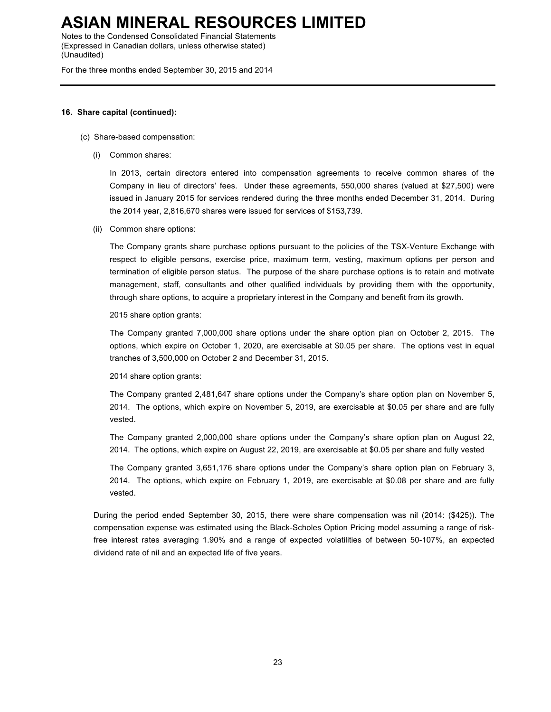Notes to the Condensed Consolidated Financial Statements (Expressed in Canadian dollars, unless otherwise stated) (Unaudited)

For the three months ended September 30, 2015 and 2014

#### **16. Share capital (continued):**

#### (c) Share-based compensation:

(i) Common shares:

In 2013, certain directors entered into compensation agreements to receive common shares of the Company in lieu of directors' fees. Under these agreements, 550,000 shares (valued at \$27,500) were issued in January 2015 for services rendered during the three months ended December 31, 2014. During the 2014 year, 2,816,670 shares were issued for services of \$153,739.

(ii) Common share options:

The Company grants share purchase options pursuant to the policies of the TSX-Venture Exchange with respect to eligible persons, exercise price, maximum term, vesting, maximum options per person and termination of eligible person status. The purpose of the share purchase options is to retain and motivate management, staff, consultants and other qualified individuals by providing them with the opportunity, through share options, to acquire a proprietary interest in the Company and benefit from its growth.

#### 2015 share option grants:

The Company granted 7,000,000 share options under the share option plan on October 2, 2015. The options, which expire on October 1, 2020, are exercisable at \$0.05 per share. The options vest in equal tranches of 3,500,000 on October 2 and December 31, 2015.

2014 share option grants:

The Company granted 2,481,647 share options under the Company's share option plan on November 5, 2014. The options, which expire on November 5, 2019, are exercisable at \$0.05 per share and are fully vested.

The Company granted 2,000,000 share options under the Company's share option plan on August 22, 2014. The options, which expire on August 22, 2019, are exercisable at \$0.05 per share and fully vested

The Company granted 3,651,176 share options under the Company's share option plan on February 3, 2014. The options, which expire on February 1, 2019, are exercisable at \$0.08 per share and are fully vested.

During the period ended September 30, 2015, there were share compensation was nil (2014: (\$425)). The compensation expense was estimated using the Black-Scholes Option Pricing model assuming a range of riskfree interest rates averaging 1.90% and a range of expected volatilities of between 50-107%, an expected dividend rate of nil and an expected life of five years.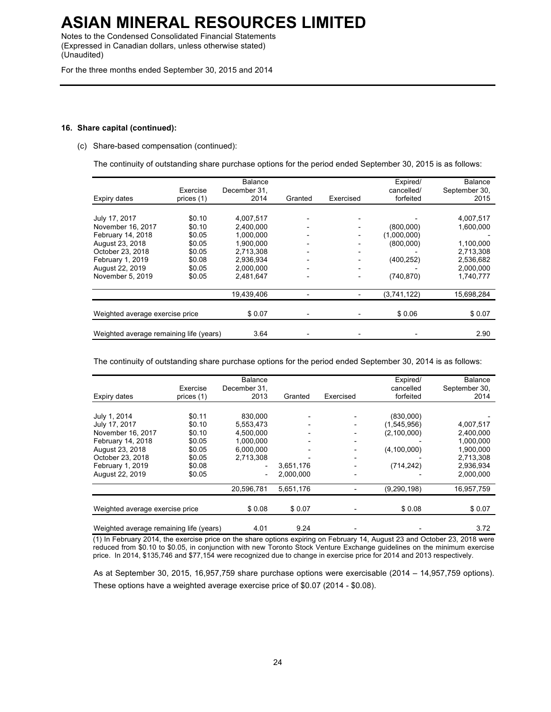Notes to the Condensed Consolidated Financial Statements (Expressed in Canadian dollars, unless otherwise stated) (Unaudited)

For the three months ended September 30, 2015 and 2014

#### **16. Share capital (continued):**

(c) Share-based compensation (continued):

The continuity of outstanding share purchase options for the period ended September 30, 2015 is as follows:

| Expiry dates                            | Exercise<br>prices (1) | Balance<br>December 31.<br>2014 | Granted | Exercised | Expired/<br>cancelled/<br>forfeited | Balance<br>September 30.<br>2015 |
|-----------------------------------------|------------------------|---------------------------------|---------|-----------|-------------------------------------|----------------------------------|
|                                         |                        |                                 |         |           |                                     |                                  |
| July 17, 2017                           | \$0.10                 | 4,007,517                       |         |           |                                     | 4,007,517                        |
| November 16, 2017                       | \$0.10                 | 2,400,000                       |         |           | (800,000)                           | 1,600,000                        |
| February 14, 2018                       | \$0.05                 | 1,000,000                       |         |           | (1,000,000)                         |                                  |
| August 23, 2018                         | \$0.05                 | 1,900,000                       |         |           | (800,000)                           | 1,100,000                        |
| October 23, 2018                        | \$0.05                 | 2.713.308                       |         |           |                                     | 2.713.308                        |
| February 1, 2019                        | \$0.08                 | 2,936,934                       |         |           | (400, 252)                          | 2,536,682                        |
| August 22, 2019                         | \$0.05                 | 2.000.000                       |         |           |                                     | 2.000.000                        |
| November 5, 2019                        | \$0.05                 | 2,481,647                       |         |           | (740, 870)                          | 1,740,777                        |
|                                         |                        | 19,439,406                      |         |           | (3,741,122)                         | 15,698,284                       |
| Weighted average exercise price         |                        | \$0.07                          |         |           | \$0.06                              | \$0.07                           |
|                                         |                        |                                 |         |           |                                     |                                  |
| Weighted average remaining life (years) |                        | 3.64                            |         |           |                                     | 2.90                             |

The continuity of outstanding share purchase options for the period ended September 30, 2014 is as follows:

|                                         |            | Balance                      |                              |           | Expired/      | <b>Balance</b> |
|-----------------------------------------|------------|------------------------------|------------------------------|-----------|---------------|----------------|
|                                         | Exercise   | December 31.                 |                              |           | cancelled     | September 30,  |
| Expiry dates                            | prices (1) | 2013                         | Granted                      | Exercised | forfeited     | 2014           |
|                                         |            |                              |                              |           |               |                |
| July 1, 2014                            | \$0.11     | 830,000                      |                              |           | (830,000)     |                |
| July 17, 2017                           | \$0.10     | 5,553,473                    |                              |           | (1,545,956)   | 4,007,517      |
| November 16, 2017                       | \$0.10     | 4,500,000                    | $\qquad \qquad \blacksquare$ |           | (2,100,000)   | 2,400,000      |
| February 14, 2018                       | \$0.05     | 1,000,000                    | $\qquad \qquad \blacksquare$ | -         |               | 1,000,000      |
| August 23, 2018                         | \$0.05     | 6.000.000                    | $\qquad \qquad \blacksquare$ |           | (4, 100, 000) | 1,900,000      |
| October 23, 2018                        | \$0.05     | 2,713,308                    |                              |           |               | 2,713,308      |
| February 1, 2019                        | \$0.08     | $\qquad \qquad \blacksquare$ | 3,651,176                    |           | (714, 242)    | 2,936,934      |
| August 22, 2019                         | \$0.05     | $\qquad \qquad \blacksquare$ | 2.000.000                    |           |               | 2,000,000      |
|                                         |            | 20,596,781                   | 5,651,176                    |           | (9, 290, 198) | 16,957,759     |
|                                         |            |                              |                              |           |               |                |
| Weighted average exercise price         |            | \$0.08                       | \$0.07                       |           | \$0.08        | \$0.07         |
| Weighted average remaining life (years) |            | 4.01                         | 9.24                         |           |               | 3.72           |

(1) In February 2014, the exercise price on the share options expiring on February 14, August 23 and October 23, 2018 were reduced from \$0.10 to \$0.05, in conjunction with new Toronto Stock Venture Exchange guidelines on the minimum exercise price. In 2014, \$135,746 and \$77,154 were recognized due to change in exercise price for 2014 and 2013 respectively.

As at September 30, 2015, 16,957,759 share purchase options were exercisable (2014 – 14,957,759 options). These options have a weighted average exercise price of \$0.07 (2014 - \$0.08).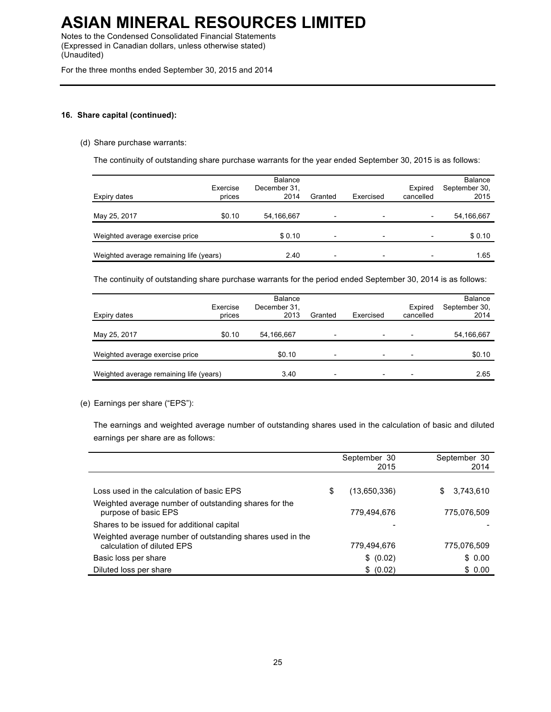Notes to the Condensed Consolidated Financial Statements (Expressed in Canadian dollars, unless otherwise stated) (Unaudited)

For the three months ended September 30, 2015 and 2014

#### **16. Share capital (continued):**

#### (d) Share purchase warrants:

The continuity of outstanding share purchase warrants for the year ended September 30, 2015 is as follows:

| Expiry dates                            | Exercise<br>prices | Balance<br>December 31,<br>2014 | Granted                  | Exercised                | Expired<br>cancelled     | <b>Balance</b><br>September 30,<br>2015 |
|-----------------------------------------|--------------------|---------------------------------|--------------------------|--------------------------|--------------------------|-----------------------------------------|
| May 25, 2017                            | \$0.10             | 54,166,667                      | $\overline{\phantom{0}}$ |                          |                          | 54,166,667                              |
| Weighted average exercise price         |                    | \$0.10                          | $\overline{\phantom{0}}$ | $\overline{\phantom{a}}$ | $\overline{\phantom{0}}$ | \$0.10                                  |
| Weighted average remaining life (years) |                    | 2.40                            | $\overline{\phantom{0}}$ |                          |                          | 1.65                                    |

The continuity of outstanding share purchase warrants for the period ended September 30, 2014 is as follows:

| Expiry dates                            | Exercise<br>prices | Balance<br>December 31,<br>2013 | Granted                  | Exercised                | Expired<br>cancelled     | <b>Balance</b><br>September 30,<br>2014 |
|-----------------------------------------|--------------------|---------------------------------|--------------------------|--------------------------|--------------------------|-----------------------------------------|
| May 25, 2017                            | \$0.10             | 54,166,667                      | $\overline{\phantom{0}}$ | $\overline{\phantom{0}}$ | $\overline{\phantom{0}}$ | 54,166,667                              |
| Weighted average exercise price         |                    | \$0.10                          | $\overline{\phantom{0}}$ | $\overline{\phantom{0}}$ |                          | \$0.10                                  |
| Weighted average remaining life (years) |                    | 3.40                            | $\overline{\phantom{0}}$ |                          | $\overline{\phantom{0}}$ | 2.65                                    |

#### (e) Earnings per share ("EPS"):

The earnings and weighted average number of outstanding shares used in the calculation of basic and diluted earnings per share are as follows:

|                                                                                         | September 30<br>2015 | September 30<br>2014 |
|-----------------------------------------------------------------------------------------|----------------------|----------------------|
|                                                                                         |                      |                      |
| Loss used in the calculation of basic EPS                                               | \$<br>(13,650,336)   | 3,743,610<br>S.      |
| Weighted average number of outstanding shares for the<br>purpose of basic EPS           | 779.494.676          | 775.076.509          |
| Shares to be issued for additional capital                                              |                      |                      |
| Weighted average number of outstanding shares used in the<br>calculation of diluted EPS | 779,494,676          | 775,076,509          |
| Basic loss per share                                                                    | \$ (0.02)            | \$0.00               |
| Diluted loss per share                                                                  | \$ (0.02)            | \$0.00               |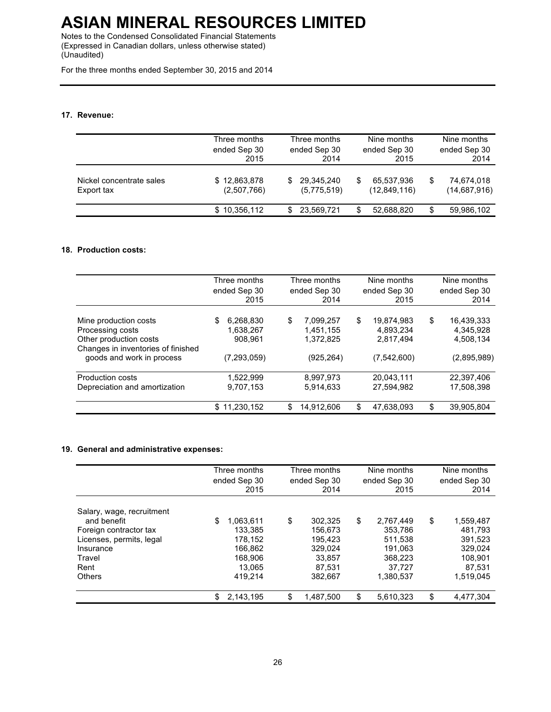Notes to the Condensed Consolidated Financial Statements (Expressed in Canadian dollars, unless otherwise stated) (Unaudited)

For the three months ended September 30, 2015 and 2014

#### **17. Revenue:**

|                                        | Three months<br>ended Sep 30<br>2015 | Three months<br>ended Sep 30<br>2014 |                           |    | Nine months<br>ended Sep 30<br>2015 | Nine months<br>ended Sep 30<br>2014 |                            |
|----------------------------------------|--------------------------------------|--------------------------------------|---------------------------|----|-------------------------------------|-------------------------------------|----------------------------|
| Nickel concentrate sales<br>Export tax | \$12,863,878<br>(2,507,766)          | S.                                   | 29,345,240<br>(5,775,519) | \$ | 65,537,936<br>(12,849,116)          | S                                   | 74,674,018<br>(14,687,916) |
|                                        | \$10,356,112                         | S                                    | 23,569,721                | S  | 52,688,820                          | S                                   | 59,986,102                 |

#### **18. Production costs:**

|                                                                                                                                        | Three months<br>ended Sep 30<br>2015                     | Three months<br>ended Sep 30<br>2014 |                                                   |    | Nine months<br>ended Sep 30<br>2015                   | Nine months<br>ended Sep 30<br>2014 |                                                     |
|----------------------------------------------------------------------------------------------------------------------------------------|----------------------------------------------------------|--------------------------------------|---------------------------------------------------|----|-------------------------------------------------------|-------------------------------------|-----------------------------------------------------|
| Mine production costs<br>Processing costs<br>Other production costs<br>Changes in inventories of finished<br>goods and work in process | 6,268,830<br>\$<br>1,638,267<br>908,961<br>(7, 293, 059) | \$                                   | 7,099,257<br>1,451,155<br>1,372,825<br>(925, 264) | \$ | 19.874.983<br>4,893,234<br>2,817,494<br>(7, 542, 600) | \$                                  | 16,439,333<br>4,345,928<br>4,508,134<br>(2,895,989) |
| Production costs<br>Depreciation and amortization                                                                                      | 1.522.999<br>9,707,153                                   |                                      | 8,997,973<br>5,914,633                            |    | 20,043,111<br>27.594.982                              |                                     | 22,397,406<br>17,508,398                            |
|                                                                                                                                        | 11,230,152<br>\$                                         | \$                                   | 14,912,606                                        | \$ | 47,638,093                                            | \$                                  | 39,905,804                                          |

#### **19. General and administrative expenses:**

|                                                                                                                                                | Three months<br>ended Sep 30<br>2015 |                                                                            | Three months<br>ended Sep 30<br>2014                                          |    | Nine months<br>ended Sep 30<br>2015                                          | Nine months<br>ended Sep 30<br>2014 |                                                                              |
|------------------------------------------------------------------------------------------------------------------------------------------------|--------------------------------------|----------------------------------------------------------------------------|-------------------------------------------------------------------------------|----|------------------------------------------------------------------------------|-------------------------------------|------------------------------------------------------------------------------|
| Salary, wage, recruitment<br>and benefit<br>Foreign contractor tax<br>Licenses, permits, legal<br>Insurance<br>Travel<br>Rent<br><b>Others</b> | \$                                   | 1,063,611<br>133.385<br>178.152<br>166.862<br>168.906<br>13.065<br>419.214 | \$<br>302.325<br>156.673<br>195.423<br>329.024<br>33.857<br>87.531<br>382.667 | \$ | 2.767.449<br>353,786<br>511.538<br>191.063<br>368,223<br>37.727<br>1.380.537 | \$                                  | 1,559,487<br>481.793<br>391.523<br>329.024<br>108.901<br>87,531<br>1,519,045 |
|                                                                                                                                                | \$                                   | 2,143,195                                                                  | \$<br>1.487.500                                                               | \$ | 5,610,323                                                                    | \$                                  | 4.477.304                                                                    |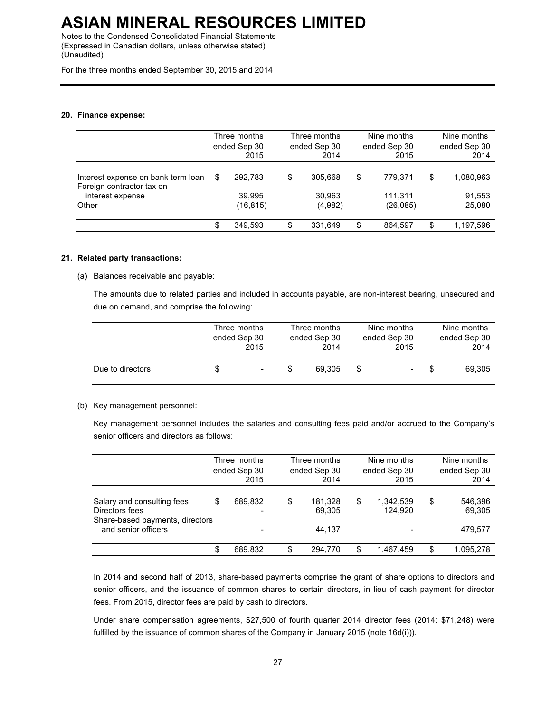Notes to the Condensed Consolidated Financial Statements (Expressed in Canadian dollars, unless otherwise stated) (Unaudited)

For the three months ended September 30, 2015 and 2014

#### **20. Finance expense:**

|                                    | Three months |         | Three months |         | Nine months  |         | Nine months  |           |
|------------------------------------|--------------|---------|--------------|---------|--------------|---------|--------------|-----------|
|                                    | ended Sep 30 |         | ended Sep 30 |         | ended Sep 30 |         | ended Sep 30 |           |
|                                    | 2015         |         | 2014         |         | 2015         |         | 2014         |           |
| Interest expense on bank term loan | 292.783      |         | \$           |         | \$           |         | \$           |           |
| Foreign contractor tax on          | S            |         | 305.668      |         | 779.371      |         | 1,080,963    |           |
| interest expense                   | 39.995       |         | 30.963       |         | 111.311      |         | 91,553       |           |
| Other                              | (16, 815)    |         | (4,982)      |         | (26,085)     |         | 25,080       |           |
|                                    | \$           | 349.593 | \$           | 331.649 | \$           | 864.597 | \$           | 1,197,596 |

#### **21. Related party transactions:**

(a) Balances receivable and payable:

The amounts due to related parties and included in accounts payable, are non-interest bearing, unsecured and due on demand, and comprise the following:

|                  | Three months<br>ended Sep 30 | 2015   | Three months<br>ended Sep 30<br>2014 | Nine months<br>ended Sep 30<br>2015 |                | Nine months<br>ended Sep 30<br>2014 |        |
|------------------|------------------------------|--------|--------------------------------------|-------------------------------------|----------------|-------------------------------------|--------|
| Due to directors | S                            | $\sim$ | 69.305                               |                                     | $\blacksquare$ |                                     | 69,305 |

#### (b) Key management personnel:

Key management personnel includes the salaries and consulting fees paid and/or accrued to the Company's senior officers and directors as follows:

|                                                                                                        |    | Three months<br>ended Sep 30<br>2015 |    | Three months<br>ended Sep 30<br>2014 |    | Nine months<br>ended Sep 30<br>2015 |   | Nine months<br>ended Sep 30<br>2014 |
|--------------------------------------------------------------------------------------------------------|----|--------------------------------------|----|--------------------------------------|----|-------------------------------------|---|-------------------------------------|
| Salary and consulting fees<br>Directors fees<br>Share-based payments, directors<br>and senior officers | S  | 689.832                              | \$ | 181.328<br>69,305<br>44.137          | \$ | 1,342,539<br>124.920                | S | 546,396<br>69,305<br>479.577        |
|                                                                                                        | \$ | 689,832                              | \$ | 294.770                              | S  | 1.467.459                           | S | 1,095,278                           |

In 2014 and second half of 2013, share-based payments comprise the grant of share options to directors and senior officers, and the issuance of common shares to certain directors, in lieu of cash payment for director fees. From 2015, director fees are paid by cash to directors.

Under share compensation agreements, \$27,500 of fourth quarter 2014 director fees (2014: \$71,248) were fulfilled by the issuance of common shares of the Company in January 2015 (note 16d(i))).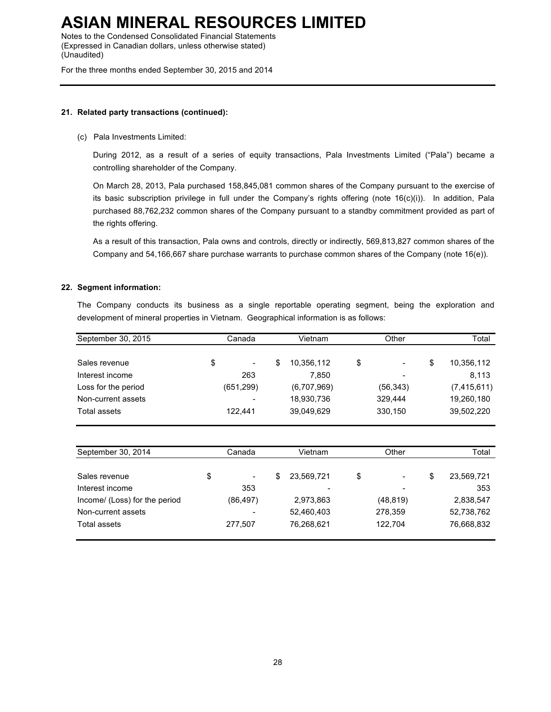Notes to the Condensed Consolidated Financial Statements (Expressed in Canadian dollars, unless otherwise stated) (Unaudited)

For the three months ended September 30, 2015 and 2014

#### **21. Related party transactions (continued):**

#### (c) Pala Investments Limited:

During 2012, as a result of a series of equity transactions, Pala Investments Limited ("Pala") became a controlling shareholder of the Company.

On March 28, 2013, Pala purchased 158,845,081 common shares of the Company pursuant to the exercise of its basic subscription privilege in full under the Company's rights offering (note 16(c)(i)). In addition, Pala purchased 88,762,232 common shares of the Company pursuant to a standby commitment provided as part of the rights offering.

As a result of this transaction, Pala owns and controls, directly or indirectly, 569,813,827 common shares of the Company and 54,166,667 share purchase warrants to purchase common shares of the Company (note 16(e)).

#### **22. Segment information:**

The Company conducts its business as a single reportable operating segment, being the exploration and development of mineral properties in Vietnam. Geographical information is as follows:

| September 30, 2015  | Canada     | Vietnam         | Other                | Total           |
|---------------------|------------|-----------------|----------------------|-----------------|
| Sales revenue       | \$<br>۰.   | 10,356,112<br>S | \$<br>$\blacksquare$ | 10,356,112<br>S |
| Interest income     | 263        | 7.850           | ٠                    | 8.113           |
| Loss for the period | (651, 299) | (6,707,969)     | (56, 343)            | (7, 415, 611)   |
| Non-current assets  |            | 18,930,736      | 329.444              | 19,260,180      |
| Total assets        | 122.441    | 39,049,629      | 330,150              | 39,502,220      |

| September 30, 2014            | Canada |           | Vietnam |            | Other                              |   | Total      |  |
|-------------------------------|--------|-----------|---------|------------|------------------------------------|---|------------|--|
|                               |        |           |         |            |                                    |   |            |  |
| Sales revenue                 | \$     |           | \$      | 23.569.721 | \$<br>$\qquad \qquad \blacksquare$ | S | 23,569,721 |  |
| Interest income               |        | 353       |         | -          | -                                  |   | 353        |  |
| Income/ (Loss) for the period |        | (86, 497) |         | 2,973,863  | (48, 819)                          |   | 2,838,547  |  |
| Non-current assets            |        |           |         | 52,460,403 | 278,359                            |   | 52,738,762 |  |
| Total assets                  |        | 277.507   |         | 76,268,621 | 122,704                            |   | 76,668,832 |  |
|                               |        |           |         |            |                                    |   |            |  |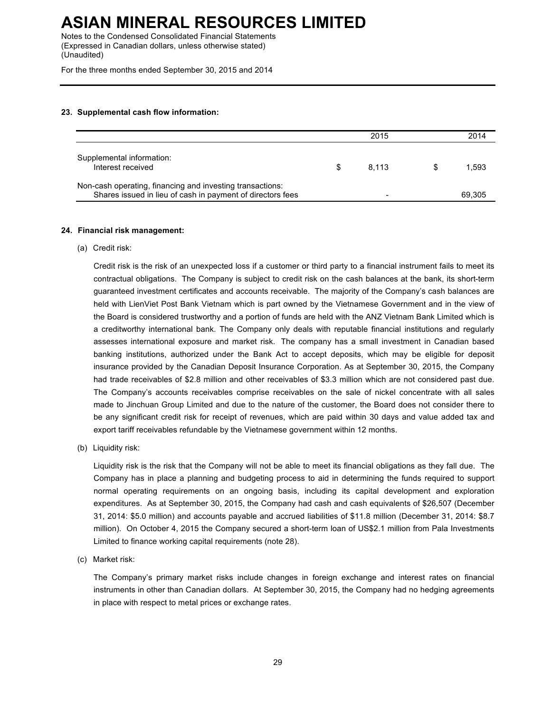Notes to the Condensed Consolidated Financial Statements (Expressed in Canadian dollars, unless otherwise stated) (Unaudited)

For the three months ended September 30, 2015 and 2014

#### **23. Supplemental cash flow information:**

|                                                                                                                         | 2015  | 2014   |
|-------------------------------------------------------------------------------------------------------------------------|-------|--------|
| Supplemental information:<br>Interest received                                                                          | 8.113 | 1.593  |
| Non-cash operating, financing and investing transactions:<br>Shares issued in lieu of cash in payment of directors fees | -     | 69.305 |

#### **24. Financial risk management:**

(a) Credit risk:

Credit risk is the risk of an unexpected loss if a customer or third party to a financial instrument fails to meet its contractual obligations. The Company is subject to credit risk on the cash balances at the bank, its short-term guaranteed investment certificates and accounts receivable. The majority of the Company's cash balances are held with LienViet Post Bank Vietnam which is part owned by the Vietnamese Government and in the view of the Board is considered trustworthy and a portion of funds are held with the ANZ Vietnam Bank Limited which is a creditworthy international bank. The Company only deals with reputable financial institutions and regularly assesses international exposure and market risk. The company has a small investment in Canadian based banking institutions, authorized under the Bank Act to accept deposits, which may be eligible for deposit insurance provided by the Canadian Deposit Insurance Corporation. As at September 30, 2015, the Company had trade receivables of \$2.8 million and other receivables of \$3.3 million which are not considered past due. The Company's accounts receivables comprise receivables on the sale of nickel concentrate with all sales made to Jinchuan Group Limited and due to the nature of the customer, the Board does not consider there to be any significant credit risk for receipt of revenues, which are paid within 30 days and value added tax and export tariff receivables refundable by the Vietnamese government within 12 months.

(b) Liquidity risk:

Liquidity risk is the risk that the Company will not be able to meet its financial obligations as they fall due. The Company has in place a planning and budgeting process to aid in determining the funds required to support normal operating requirements on an ongoing basis, including its capital development and exploration expenditures. As at September 30, 2015, the Company had cash and cash equivalents of \$26,507 (December 31, 2014: \$5.0 million) and accounts payable and accrued liabilities of \$11.8 million (December 31, 2014: \$8.7 million). On October 4, 2015 the Company secured a short-term loan of US\$2.1 million from Pala Investments Limited to finance working capital requirements (note 28).

(c) Market risk:

The Company's primary market risks include changes in foreign exchange and interest rates on financial instruments in other than Canadian dollars. At September 30, 2015, the Company had no hedging agreements in place with respect to metal prices or exchange rates.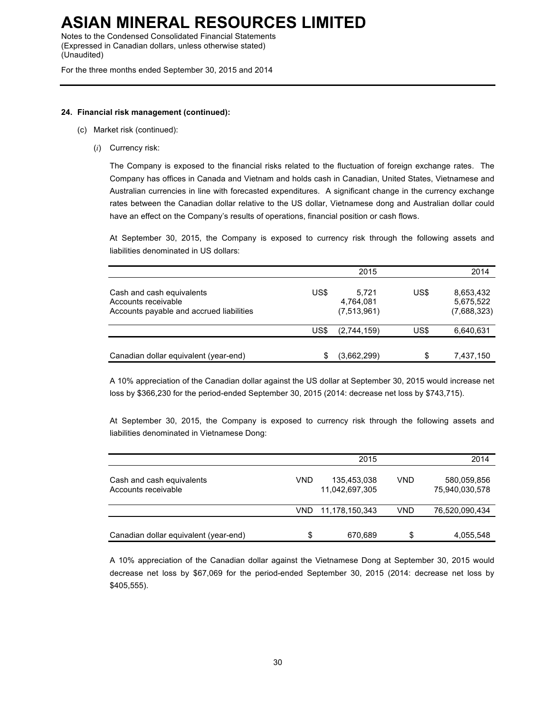Notes to the Condensed Consolidated Financial Statements (Expressed in Canadian dollars, unless otherwise stated) (Unaudited)

For the three months ended September 30, 2015 and 2014

#### **24. Financial risk management (continued):**

- (c) Market risk (continued):
	- (*i*) Currency risk:

The Company is exposed to the financial risks related to the fluctuation of foreign exchange rates. The Company has offices in Canada and Vietnam and holds cash in Canadian, United States, Vietnamese and Australian currencies in line with forecasted expenditures. A significant change in the currency exchange rates between the Canadian dollar relative to the US dollar, Vietnamese dong and Australian dollar could have an effect on the Company's results of operations, financial position or cash flows.

At September 30, 2015, the Company is exposed to currency risk through the following assets and liabilities denominated in US dollars:

|                                                                                              |      | 2015                              |      | 2014                                  |
|----------------------------------------------------------------------------------------------|------|-----------------------------------|------|---------------------------------------|
| Cash and cash equivalents<br>Accounts receivable<br>Accounts payable and accrued liabilities | US\$ | 5.721<br>4,764,081<br>(7,513,961) | US\$ | 8,653,432<br>5,675,522<br>(7,688,323) |
|                                                                                              | US\$ | (2,744,159)                       | US\$ | 6,640,631                             |
| Canadian dollar equivalent (year-end)                                                        | S    | (3,662,299)                       | \$   | 7,437,150                             |

A 10% appreciation of the Canadian dollar against the US dollar at September 30, 2015 would increase net loss by \$366,230 for the period-ended September 30, 2015 (2014: decrease net loss by \$743,715).

At September 30, 2015, the Company is exposed to currency risk through the following assets and liabilities denominated in Vietnamese Dong:

|                                                  |      | 2015                          |            | 2014                          |
|--------------------------------------------------|------|-------------------------------|------------|-------------------------------|
| Cash and cash equivalents<br>Accounts receivable | VND  | 135,453,038<br>11,042,697,305 | VND        | 580,059,856<br>75,940,030,578 |
|                                                  | VND. | 11,178,150,343                | <b>VND</b> | 76,520,090,434                |
| Canadian dollar equivalent (year-end)            | \$   | 670,689                       | \$         | 4,055,548                     |

A 10% appreciation of the Canadian dollar against the Vietnamese Dong at September 30, 2015 would decrease net loss by \$67,069 for the period-ended September 30, 2015 (2014: decrease net loss by \$405,555).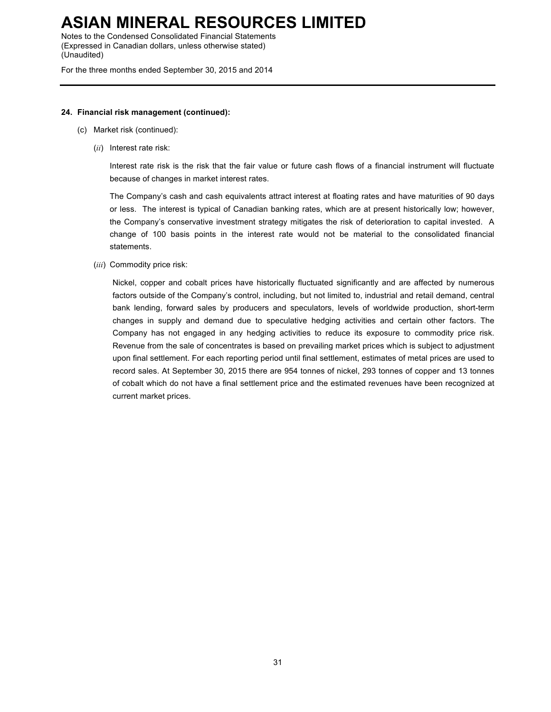Notes to the Condensed Consolidated Financial Statements (Expressed in Canadian dollars, unless otherwise stated) (Unaudited)

For the three months ended September 30, 2015 and 2014

#### **24. Financial risk management (continued):**

- (c) Market risk (continued):
	- (*ii*) Interest rate risk:

Interest rate risk is the risk that the fair value or future cash flows of a financial instrument will fluctuate because of changes in market interest rates.

The Company's cash and cash equivalents attract interest at floating rates and have maturities of 90 days or less. The interest is typical of Canadian banking rates, which are at present historically low; however, the Company's conservative investment strategy mitigates the risk of deterioration to capital invested. A change of 100 basis points in the interest rate would not be material to the consolidated financial statements.

(*iii*) Commodity price risk:

Nickel, copper and cobalt prices have historically fluctuated significantly and are affected by numerous factors outside of the Company's control, including, but not limited to, industrial and retail demand, central bank lending, forward sales by producers and speculators, levels of worldwide production, short-term changes in supply and demand due to speculative hedging activities and certain other factors. The Company has not engaged in any hedging activities to reduce its exposure to commodity price risk. Revenue from the sale of concentrates is based on prevailing market prices which is subject to adjustment upon final settlement. For each reporting period until final settlement, estimates of metal prices are used to record sales. At September 30, 2015 there are 954 tonnes of nickel, 293 tonnes of copper and 13 tonnes of cobalt which do not have a final settlement price and the estimated revenues have been recognized at current market prices.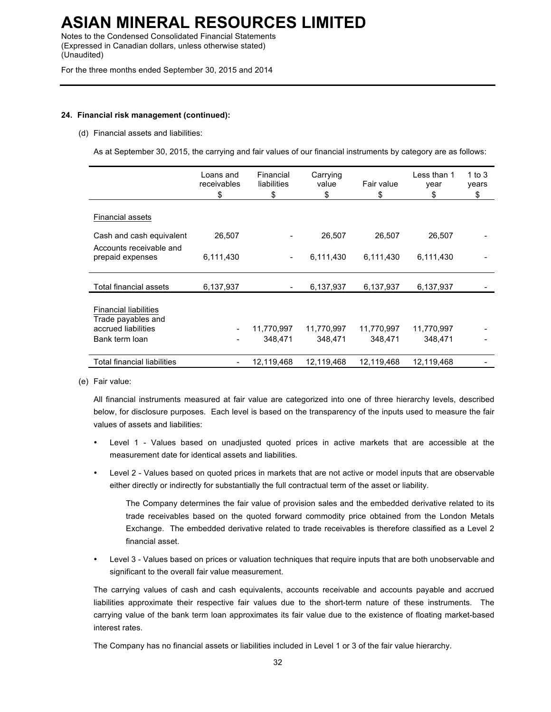Notes to the Condensed Consolidated Financial Statements (Expressed in Canadian dollars, unless otherwise stated) (Unaudited)

For the three months ended September 30, 2015 and 2014

#### **24. Financial risk management (continued):**

#### (d) Financial assets and liabilities:

As at September 30, 2015, the carrying and fair values of our financial instruments by category are as follows:

|                                                                                             | Loans and<br>receivables<br>\$ | Financial<br>liabilities<br>\$ | Carrying<br>value<br>\$ | Fair value<br>\$      | Less than 1<br>year<br>\$ | 1 to 3<br>years<br>\$ |
|---------------------------------------------------------------------------------------------|--------------------------------|--------------------------------|-------------------------|-----------------------|---------------------------|-----------------------|
| <b>Financial assets</b>                                                                     |                                |                                |                         |                       |                           |                       |
| Cash and cash equivalent                                                                    | 26,507                         |                                | 26,507                  | 26,507                | 26,507                    |                       |
| Accounts receivable and<br>prepaid expenses                                                 | 6,111,430                      | $\overline{\phantom{m}}$       | 6,111,430               | 6,111,430             | 6,111,430                 |                       |
| Total financial assets                                                                      | 6,137,937                      |                                | 6,137,937               | 6,137,937             | 6,137,937                 |                       |
| <b>Financial liabilities</b><br>Trade payables and<br>accrued liabilities<br>Bank term loan |                                | 11,770,997<br>348,471          | 11,770,997<br>348,471   | 11,770,997<br>348,471 | 11,770,997<br>348,471     |                       |
| Total financial liabilities                                                                 |                                | 12,119,468                     | 12,119,468              | 12,119,468            | 12,119,468                |                       |

(e) Fair value:

All financial instruments measured at fair value are categorized into one of three hierarchy levels, described below, for disclosure purposes. Each level is based on the transparency of the inputs used to measure the fair values of assets and liabilities:

- Level 1 Values based on unadjusted quoted prices in active markets that are accessible at the measurement date for identical assets and liabilities.
- Level 2 Values based on quoted prices in markets that are not active or model inputs that are observable either directly or indirectly for substantially the full contractual term of the asset or liability.

The Company determines the fair value of provision sales and the embedded derivative related to its trade receivables based on the quoted forward commodity price obtained from the London Metals Exchange. The embedded derivative related to trade receivables is therefore classified as a Level 2 financial asset.

• Level 3 - Values based on prices or valuation techniques that require inputs that are both unobservable and significant to the overall fair value measurement.

The carrying values of cash and cash equivalents, accounts receivable and accounts payable and accrued liabilities approximate their respective fair values due to the short-term nature of these instruments. The carrying value of the bank term loan approximates its fair value due to the existence of floating market-based interest rates.

The Company has no financial assets or liabilities included in Level 1 or 3 of the fair value hierarchy.